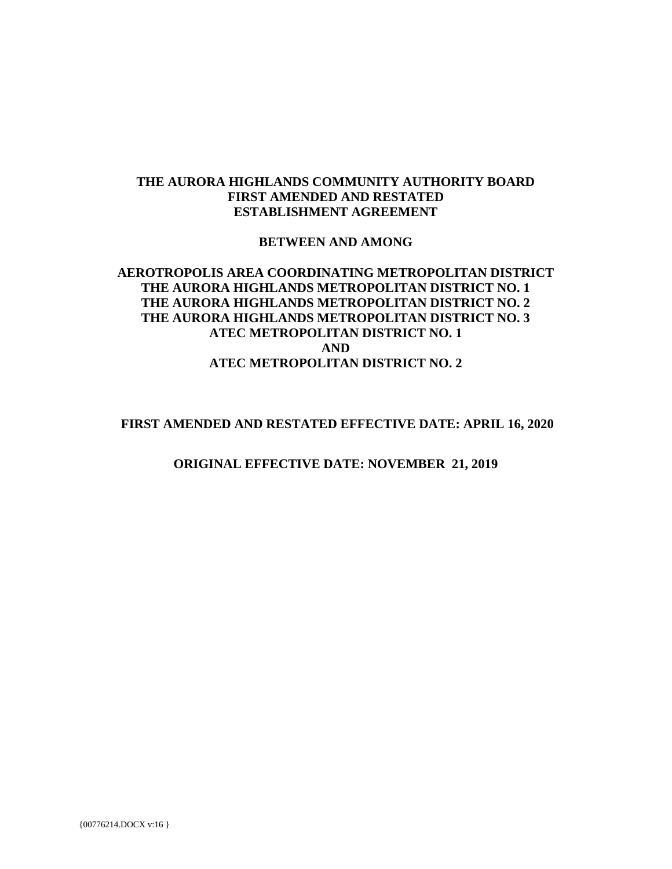#### **THE AURORA HIGHLANDS COMMUNITY AUTHORITY BOARD FIRST AMENDED AND RESTATED ESTABLISHMENT AGREEMENT**

#### **BETWEEN AND AMONG**

#### **AEROTROPOLIS AREA COORDINATING METROPOLITAN DISTRICT THE AURORA HIGHLANDS METROPOLITAN DISTRICT NO. 1 THE AURORA HIGHLANDS METROPOLITAN DISTRICT NO. 2 THE AURORA HIGHLANDS METROPOLITAN DISTRICT NO. 3 ATEC METROPOLITAN DISTRICT NO. 1 AND ATEC METROPOLITAN DISTRICT NO. 2**

#### **FIRST AMENDED AND RESTATED EFFECTIVE DATE: APRIL 16, 2020**

**ORIGINAL EFFECTIVE DATE: NOVEMBER 21, 2019**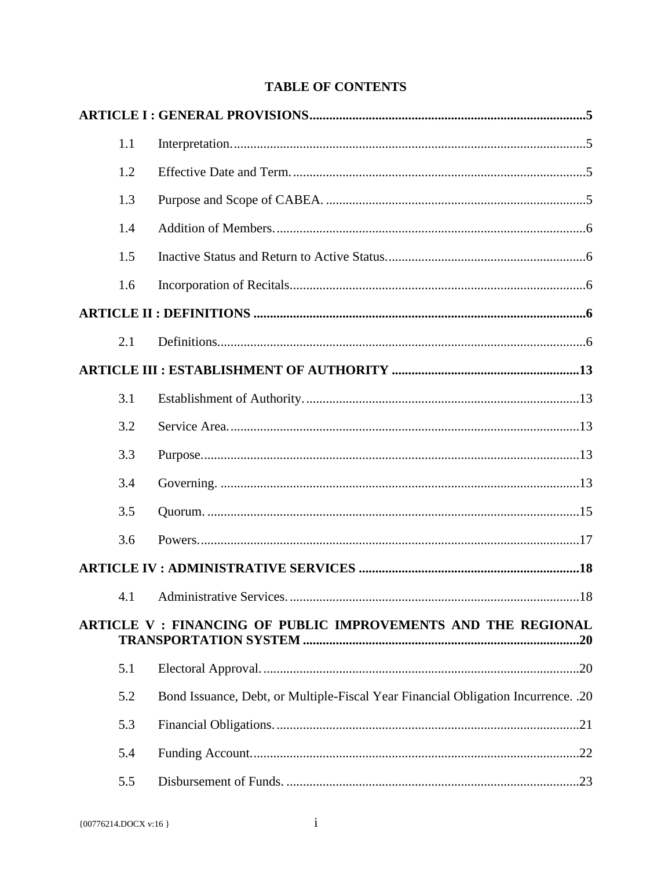# **TABLE OF CONTENTS**

|  | 1.1 |                                                                                   |  |
|--|-----|-----------------------------------------------------------------------------------|--|
|  | 1.2 |                                                                                   |  |
|  | 1.3 |                                                                                   |  |
|  | 1.4 |                                                                                   |  |
|  | 1.5 |                                                                                   |  |
|  | 1.6 |                                                                                   |  |
|  |     |                                                                                   |  |
|  | 2.1 |                                                                                   |  |
|  |     |                                                                                   |  |
|  | 3.1 |                                                                                   |  |
|  | 3.2 |                                                                                   |  |
|  | 3.3 |                                                                                   |  |
|  | 3.4 |                                                                                   |  |
|  | 3.5 |                                                                                   |  |
|  | 3.6 |                                                                                   |  |
|  |     |                                                                                   |  |
|  |     |                                                                                   |  |
|  |     | ARTICLE V : FINANCING OF PUBLIC IMPROVEMENTS AND THE REGIONAL                     |  |
|  | 5.1 |                                                                                   |  |
|  | 5.2 | Bond Issuance, Debt, or Multiple-Fiscal Year Financial Obligation Incurrence. .20 |  |
|  | 5.3 |                                                                                   |  |
|  | 5.4 |                                                                                   |  |
|  | 5.5 |                                                                                   |  |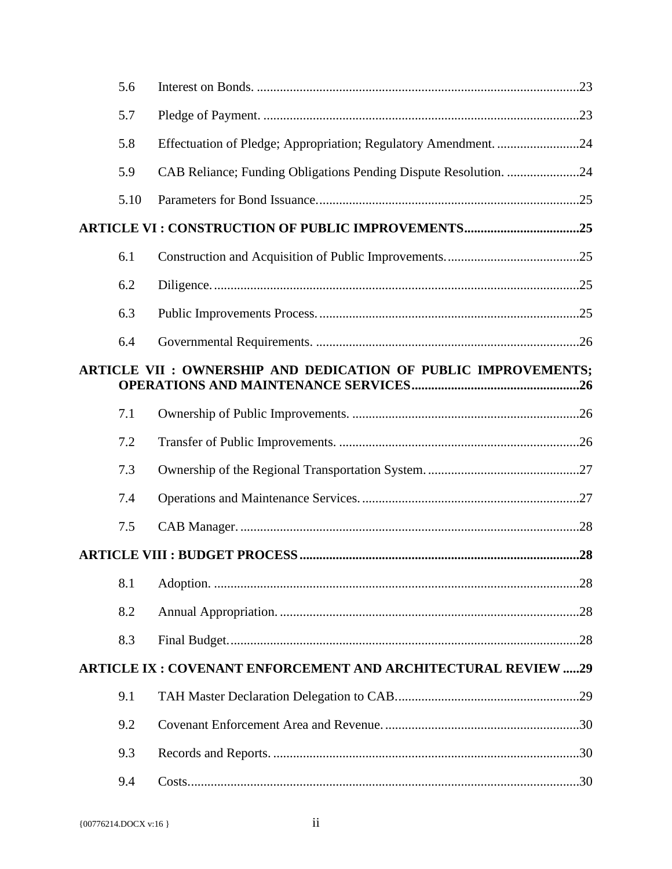| 5.6  |                                                                     |  |
|------|---------------------------------------------------------------------|--|
| 5.7  |                                                                     |  |
| 5.8  | Effectuation of Pledge; Appropriation; Regulatory Amendment. 24     |  |
| 5.9  | CAB Reliance; Funding Obligations Pending Dispute Resolution. 24    |  |
| 5.10 |                                                                     |  |
|      | <b>ARTICLE VI: CONSTRUCTION OF PUBLIC IMPROVEMENTS25</b>            |  |
| 6.1  |                                                                     |  |
| 6.2  |                                                                     |  |
| 6.3  |                                                                     |  |
| 6.4  |                                                                     |  |
|      | ARTICLE VII : OWNERSHIP AND DEDICATION OF PUBLIC IMPROVEMENTS;      |  |
| 7.1  |                                                                     |  |
| 7.2  |                                                                     |  |
| 7.3  |                                                                     |  |
| 7.4  |                                                                     |  |
| 7.5  |                                                                     |  |
|      |                                                                     |  |
| 8.1  |                                                                     |  |
| 8.2  |                                                                     |  |
| 8.3  |                                                                     |  |
|      | <b>ARTICLE IX: COVENANT ENFORCEMENT AND ARCHITECTURAL REVIEW 29</b> |  |
| 9.1  |                                                                     |  |
| 9.2  |                                                                     |  |
| 9.3  |                                                                     |  |
| 9.4  |                                                                     |  |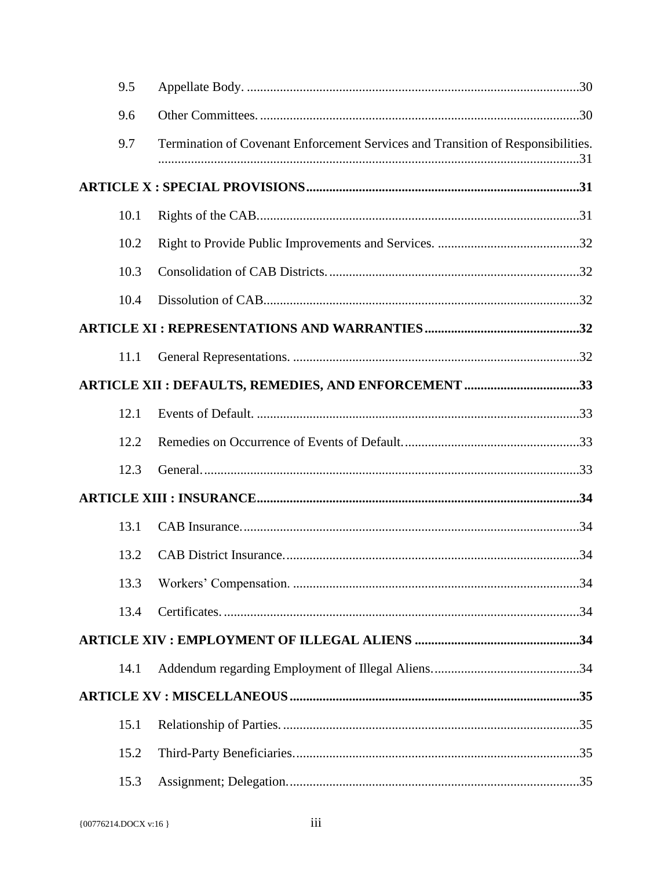| 9.5  |                                                                                  |  |
|------|----------------------------------------------------------------------------------|--|
| 9.6  |                                                                                  |  |
| 9.7  | Termination of Covenant Enforcement Services and Transition of Responsibilities. |  |
|      |                                                                                  |  |
| 10.1 |                                                                                  |  |
| 10.2 |                                                                                  |  |
| 10.3 |                                                                                  |  |
| 10.4 |                                                                                  |  |
|      |                                                                                  |  |
| 11.1 |                                                                                  |  |
|      | <b>ARTICLE XII : DEFAULTS, REMEDIES, AND ENFORCEMENT 33</b>                      |  |
| 12.1 |                                                                                  |  |
| 12.2 |                                                                                  |  |
| 12.3 |                                                                                  |  |
|      |                                                                                  |  |
| 13.1 |                                                                                  |  |
| 13.2 |                                                                                  |  |
| 13.3 |                                                                                  |  |
| 13.4 |                                                                                  |  |
|      |                                                                                  |  |
| 14.1 |                                                                                  |  |
|      |                                                                                  |  |
| 15.1 |                                                                                  |  |
| 15.2 |                                                                                  |  |
| 15.3 |                                                                                  |  |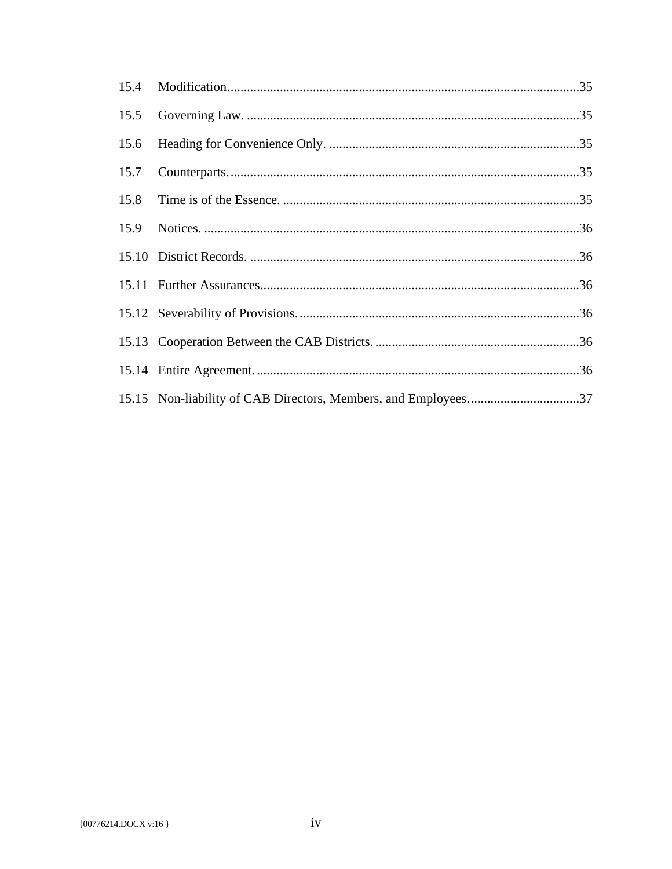| 15.15 Non-liability of CAB Directors, Members, and Employees37 |  |
|----------------------------------------------------------------|--|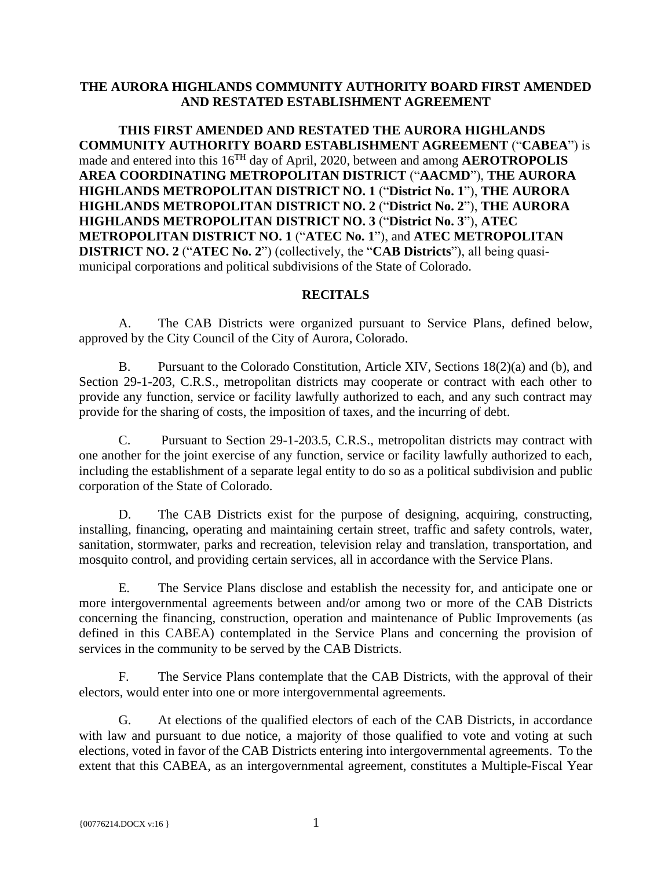#### **THE AURORA HIGHLANDS COMMUNITY AUTHORITY BOARD FIRST AMENDED AND RESTATED ESTABLISHMENT AGREEMENT**

**THIS FIRST AMENDED AND RESTATED THE AURORA HIGHLANDS COMMUNITY AUTHORITY BOARD ESTABLISHMENT AGREEMENT** ("**CABEA**") is made and entered into this 16<sup>TH</sup> day of April, 2020, between and among **AEROTROPOLIS AREA COORDINATING METROPOLITAN DISTRICT** ("**AACMD**"), **THE AURORA HIGHLANDS METROPOLITAN DISTRICT NO. 1** ("**District No. 1**"), **THE AURORA HIGHLANDS METROPOLITAN DISTRICT NO. 2** ("**District No. 2**"), **THE AURORA HIGHLANDS METROPOLITAN DISTRICT NO. 3** ("**District No. 3**"), **ATEC METROPOLITAN DISTRICT NO. 1** ("**ATEC No. 1**"), and **ATEC METROPOLITAN DISTRICT NO. 2** ("**ATEC No. 2**") (collectively, the "**CAB Districts**"), all being quasimunicipal corporations and political subdivisions of the State of Colorado.

#### **RECITALS**

A. The CAB Districts were organized pursuant to Service Plans, defined below, approved by the City Council of the City of Aurora, Colorado.

B. Pursuant to the Colorado Constitution, Article XIV, Sections 18(2)(a) and (b), and Section 29-1-203, C.R.S., metropolitan districts may cooperate or contract with each other to provide any function, service or facility lawfully authorized to each, and any such contract may provide for the sharing of costs, the imposition of taxes, and the incurring of debt.

C. Pursuant to Section 29-1-203.5, C.R.S., metropolitan districts may contract with one another for the joint exercise of any function, service or facility lawfully authorized to each, including the establishment of a separate legal entity to do so as a political subdivision and public corporation of the State of Colorado.

D. The CAB Districts exist for the purpose of designing, acquiring, constructing, installing, financing, operating and maintaining certain street, traffic and safety controls, water, sanitation, stormwater, parks and recreation, television relay and translation, transportation, and mosquito control, and providing certain services, all in accordance with the Service Plans.

E. The Service Plans disclose and establish the necessity for, and anticipate one or more intergovernmental agreements between and/or among two or more of the CAB Districts concerning the financing, construction, operation and maintenance of Public Improvements (as defined in this CABEA) contemplated in the Service Plans and concerning the provision of services in the community to be served by the CAB Districts.

F. The Service Plans contemplate that the CAB Districts, with the approval of their electors, would enter into one or more intergovernmental agreements.

G. At elections of the qualified electors of each of the CAB Districts, in accordance with law and pursuant to due notice, a majority of those qualified to vote and voting at such elections, voted in favor of the CAB Districts entering into intergovernmental agreements. To the extent that this CABEA, as an intergovernmental agreement, constitutes a Multiple-Fiscal Year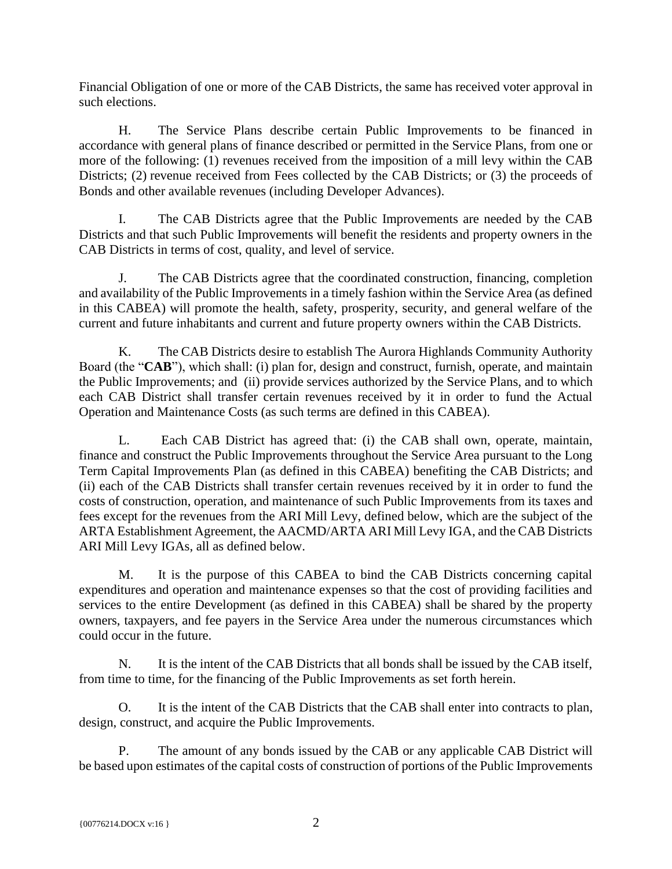Financial Obligation of one or more of the CAB Districts, the same has received voter approval in such elections.

H. The Service Plans describe certain Public Improvements to be financed in accordance with general plans of finance described or permitted in the Service Plans, from one or more of the following: (1) revenues received from the imposition of a mill levy within the CAB Districts; (2) revenue received from Fees collected by the CAB Districts; or (3) the proceeds of Bonds and other available revenues (including Developer Advances).

I. The CAB Districts agree that the Public Improvements are needed by the CAB Districts and that such Public Improvements will benefit the residents and property owners in the CAB Districts in terms of cost, quality, and level of service.

J. The CAB Districts agree that the coordinated construction, financing, completion and availability of the Public Improvements in a timely fashion within the Service Area (as defined in this CABEA) will promote the health, safety, prosperity, security, and general welfare of the current and future inhabitants and current and future property owners within the CAB Districts.

K. The CAB Districts desire to establish The Aurora Highlands Community Authority Board (the "**CAB**"), which shall: (i) plan for, design and construct, furnish, operate, and maintain the Public Improvements; and (ii) provide services authorized by the Service Plans, and to which each CAB District shall transfer certain revenues received by it in order to fund the Actual Operation and Maintenance Costs (as such terms are defined in this CABEA).

L. Each CAB District has agreed that: (i) the CAB shall own, operate, maintain, finance and construct the Public Improvements throughout the Service Area pursuant to the Long Term Capital Improvements Plan (as defined in this CABEA) benefiting the CAB Districts; and (ii) each of the CAB Districts shall transfer certain revenues received by it in order to fund the costs of construction, operation, and maintenance of such Public Improvements from its taxes and fees except for the revenues from the ARI Mill Levy, defined below, which are the subject of the ARTA Establishment Agreement, the AACMD/ARTA ARI Mill Levy IGA, and the CAB Districts ARI Mill Levy IGAs, all as defined below.

M. It is the purpose of this CABEA to bind the CAB Districts concerning capital expenditures and operation and maintenance expenses so that the cost of providing facilities and services to the entire Development (as defined in this CABEA) shall be shared by the property owners, taxpayers, and fee payers in the Service Area under the numerous circumstances which could occur in the future.

N. It is the intent of the CAB Districts that all bonds shall be issued by the CAB itself, from time to time, for the financing of the Public Improvements as set forth herein.

O. It is the intent of the CAB Districts that the CAB shall enter into contracts to plan, design, construct, and acquire the Public Improvements.

P. The amount of any bonds issued by the CAB or any applicable CAB District will be based upon estimates of the capital costs of construction of portions of the Public Improvements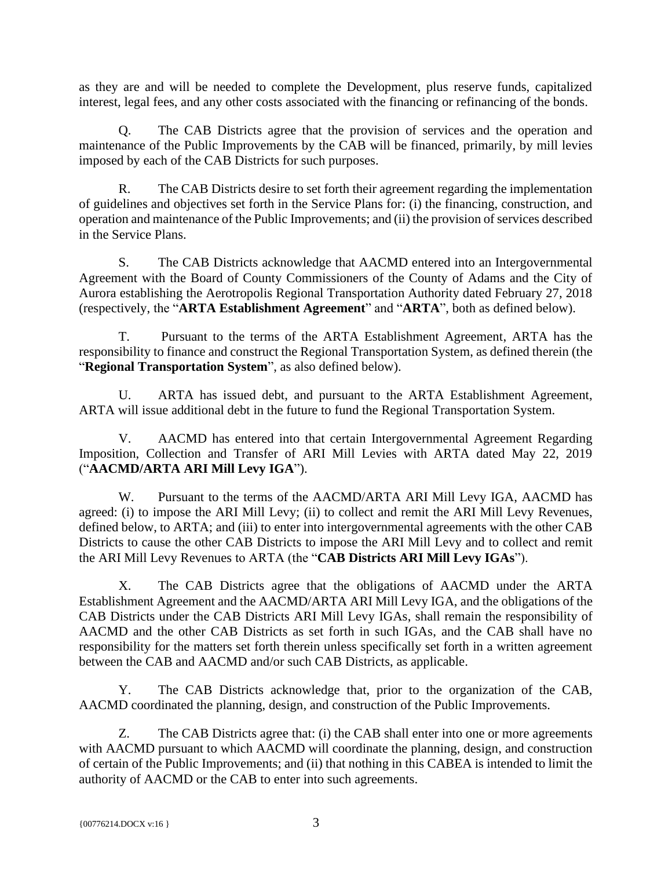as they are and will be needed to complete the Development, plus reserve funds, capitalized interest, legal fees, and any other costs associated with the financing or refinancing of the bonds.

Q. The CAB Districts agree that the provision of services and the operation and maintenance of the Public Improvements by the CAB will be financed, primarily, by mill levies imposed by each of the CAB Districts for such purposes.

R. The CAB Districts desire to set forth their agreement regarding the implementation of guidelines and objectives set forth in the Service Plans for: (i) the financing, construction, and operation and maintenance of the Public Improvements; and (ii) the provision of services described in the Service Plans.

S. The CAB Districts acknowledge that AACMD entered into an Intergovernmental Agreement with the Board of County Commissioners of the County of Adams and the City of Aurora establishing the Aerotropolis Regional Transportation Authority dated February 27, 2018 (respectively, the "**ARTA Establishment Agreement**" and "**ARTA**", both as defined below).

T. Pursuant to the terms of the ARTA Establishment Agreement, ARTA has the responsibility to finance and construct the Regional Transportation System, as defined therein (the "**Regional Transportation System**", as also defined below).

U. ARTA has issued debt, and pursuant to the ARTA Establishment Agreement, ARTA will issue additional debt in the future to fund the Regional Transportation System.

V. AACMD has entered into that certain Intergovernmental Agreement Regarding Imposition, Collection and Transfer of ARI Mill Levies with ARTA dated May 22, 2019 ("**AACMD/ARTA ARI Mill Levy IGA**").

W. Pursuant to the terms of the AACMD/ARTA ARI Mill Levy IGA, AACMD has agreed: (i) to impose the ARI Mill Levy; (ii) to collect and remit the ARI Mill Levy Revenues, defined below, to ARTA; and (iii) to enter into intergovernmental agreements with the other CAB Districts to cause the other CAB Districts to impose the ARI Mill Levy and to collect and remit the ARI Mill Levy Revenues to ARTA (the "**CAB Districts ARI Mill Levy IGAs**").

X. The CAB Districts agree that the obligations of AACMD under the ARTA Establishment Agreement and the AACMD/ARTA ARI Mill Levy IGA, and the obligations of the CAB Districts under the CAB Districts ARI Mill Levy IGAs, shall remain the responsibility of AACMD and the other CAB Districts as set forth in such IGAs, and the CAB shall have no responsibility for the matters set forth therein unless specifically set forth in a written agreement between the CAB and AACMD and/or such CAB Districts, as applicable.

Y. The CAB Districts acknowledge that, prior to the organization of the CAB, AACMD coordinated the planning, design, and construction of the Public Improvements.

Z. The CAB Districts agree that: (i) the CAB shall enter into one or more agreements with AACMD pursuant to which AACMD will coordinate the planning, design, and construction of certain of the Public Improvements; and (ii) that nothing in this CABEA is intended to limit the authority of AACMD or the CAB to enter into such agreements.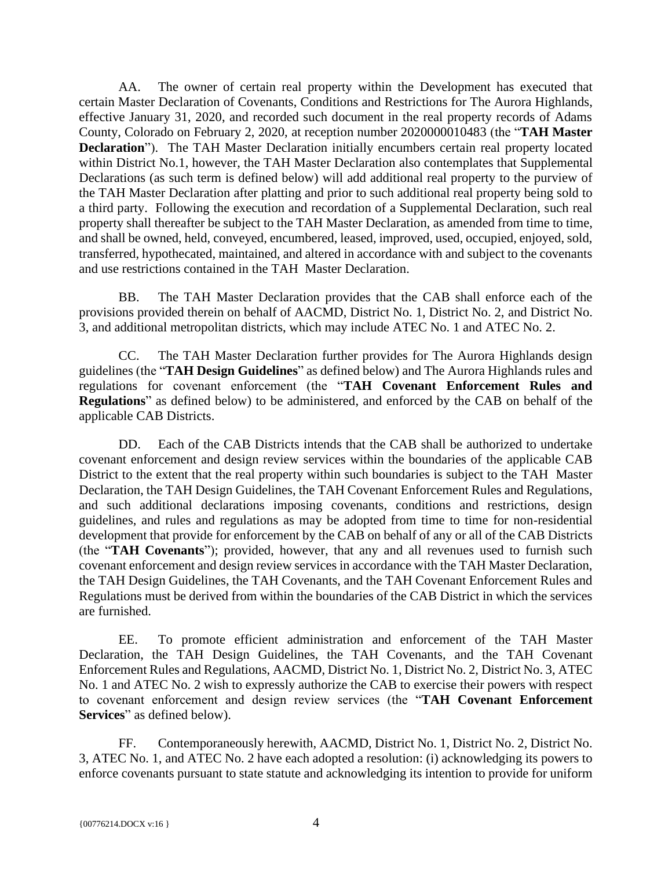AA. The owner of certain real property within the Development has executed that certain Master Declaration of Covenants, Conditions and Restrictions for The Aurora Highlands, effective January 31, 2020, and recorded such document in the real property records of Adams County, Colorado on February 2, 2020, at reception number 2020000010483 (the "**TAH Master Declaration**"). The TAH Master Declaration initially encumbers certain real property located within District No.1, however, the TAH Master Declaration also contemplates that Supplemental Declarations (as such term is defined below) will add additional real property to the purview of the TAH Master Declaration after platting and prior to such additional real property being sold to a third party. Following the execution and recordation of a Supplemental Declaration, such real property shall thereafter be subject to the TAH Master Declaration, as amended from time to time, and shall be owned, held, conveyed, encumbered, leased, improved, used, occupied, enjoyed, sold, transferred, hypothecated, maintained, and altered in accordance with and subject to the covenants and use restrictions contained in the TAH Master Declaration.

BB. The TAH Master Declaration provides that the CAB shall enforce each of the provisions provided therein on behalf of AACMD, District No. 1, District No. 2, and District No. 3, and additional metropolitan districts, which may include ATEC No. 1 and ATEC No. 2.

CC. The TAH Master Declaration further provides for The Aurora Highlands design guidelines (the "**TAH Design Guidelines**" as defined below) and The Aurora Highlands rules and regulations for covenant enforcement (the "**TAH Covenant Enforcement Rules and Regulations**" as defined below) to be administered, and enforced by the CAB on behalf of the applicable CAB Districts.

DD. Each of the CAB Districts intends that the CAB shall be authorized to undertake covenant enforcement and design review services within the boundaries of the applicable CAB District to the extent that the real property within such boundaries is subject to the TAH Master Declaration, the TAH Design Guidelines, the TAH Covenant Enforcement Rules and Regulations, and such additional declarations imposing covenants, conditions and restrictions, design guidelines, and rules and regulations as may be adopted from time to time for non-residential development that provide for enforcement by the CAB on behalf of any or all of the CAB Districts (the "**TAH Covenants**"); provided, however, that any and all revenues used to furnish such covenant enforcement and design review services in accordance with the TAH Master Declaration, the TAH Design Guidelines, the TAH Covenants, and the TAH Covenant Enforcement Rules and Regulations must be derived from within the boundaries of the CAB District in which the services are furnished.

EE. To promote efficient administration and enforcement of the TAH Master Declaration, the TAH Design Guidelines, the TAH Covenants, and the TAH Covenant Enforcement Rules and Regulations, AACMD, District No. 1, District No. 2, District No. 3, ATEC No. 1 and ATEC No. 2 wish to expressly authorize the CAB to exercise their powers with respect to covenant enforcement and design review services (the "**TAH Covenant Enforcement Services**" as defined below).

FF. Contemporaneously herewith, AACMD, District No. 1, District No. 2, District No. 3, ATEC No. 1, and ATEC No. 2 have each adopted a resolution: (i) acknowledging its powers to enforce covenants pursuant to state statute and acknowledging its intention to provide for uniform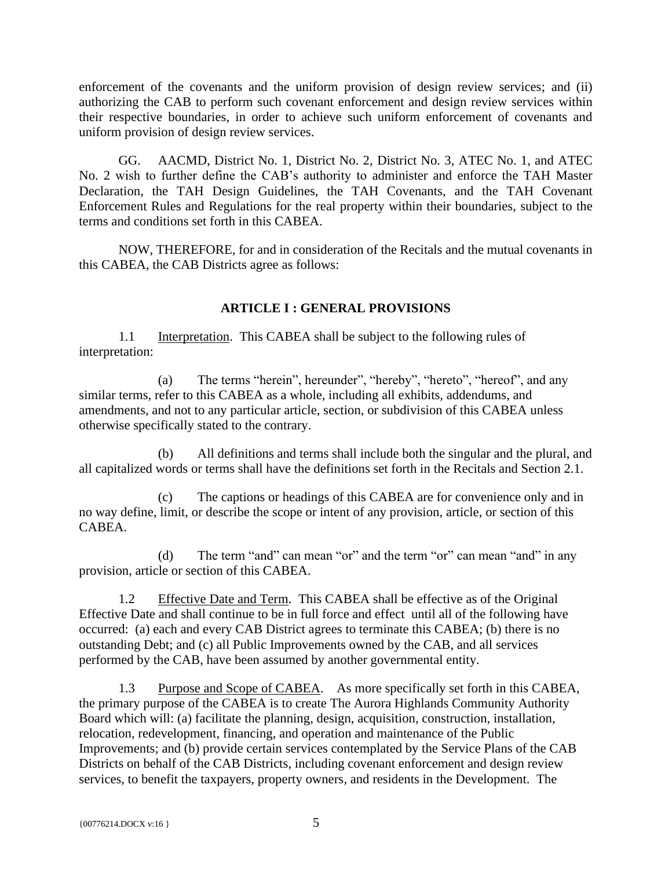enforcement of the covenants and the uniform provision of design review services; and (ii) authorizing the CAB to perform such covenant enforcement and design review services within their respective boundaries, in order to achieve such uniform enforcement of covenants and uniform provision of design review services.

GG. AACMD, District No. 1, District No. 2, District No. 3, ATEC No. 1, and ATEC No. 2 wish to further define the CAB's authority to administer and enforce the TAH Master Declaration, the TAH Design Guidelines, the TAH Covenants, and the TAH Covenant Enforcement Rules and Regulations for the real property within their boundaries, subject to the terms and conditions set forth in this CABEA.

NOW, THEREFORE, for and in consideration of the Recitals and the mutual covenants in this CABEA, the CAB Districts agree as follows:

# **ARTICLE I : GENERAL PROVISIONS**

<span id="page-9-1"></span><span id="page-9-0"></span>1.1 Interpretation. This CABEA shall be subject to the following rules of interpretation:

(a) The terms "herein", hereunder", "hereby", "hereto", "hereof", and any similar terms, refer to this CABEA as a whole, including all exhibits, addendums, and amendments, and not to any particular article, section, or subdivision of this CABEA unless otherwise specifically stated to the contrary.

(b) All definitions and terms shall include both the singular and the plural, and all capitalized words or terms shall have the definitions set forth in the Recitals and Section 2.1.

(c) The captions or headings of this CABEA are for convenience only and in no way define, limit, or describe the scope or intent of any provision, article, or section of this CABEA.

(d) The term "and" can mean "or" and the term "or" can mean "and" in any provision, article or section of this CABEA.

<span id="page-9-2"></span>1.2 Effective Date and Term. This CABEA shall be effective as of the Original Effective Date and shall continue to be in full force and effect until all of the following have occurred: (a) each and every CAB District agrees to terminate this CABEA; (b) there is no outstanding Debt; and (c) all Public Improvements owned by the CAB, and all services performed by the CAB, have been assumed by another governmental entity.

<span id="page-9-3"></span>1.3 Purpose and Scope of CABEA. As more specifically set forth in this CABEA, the primary purpose of the CABEA is to create The Aurora Highlands Community Authority Board which will: (a) facilitate the planning, design, acquisition, construction, installation, relocation, redevelopment, financing, and operation and maintenance of the Public Improvements; and (b) provide certain services contemplated by the Service Plans of the CAB Districts on behalf of the CAB Districts, including covenant enforcement and design review services, to benefit the taxpayers, property owners, and residents in the Development. The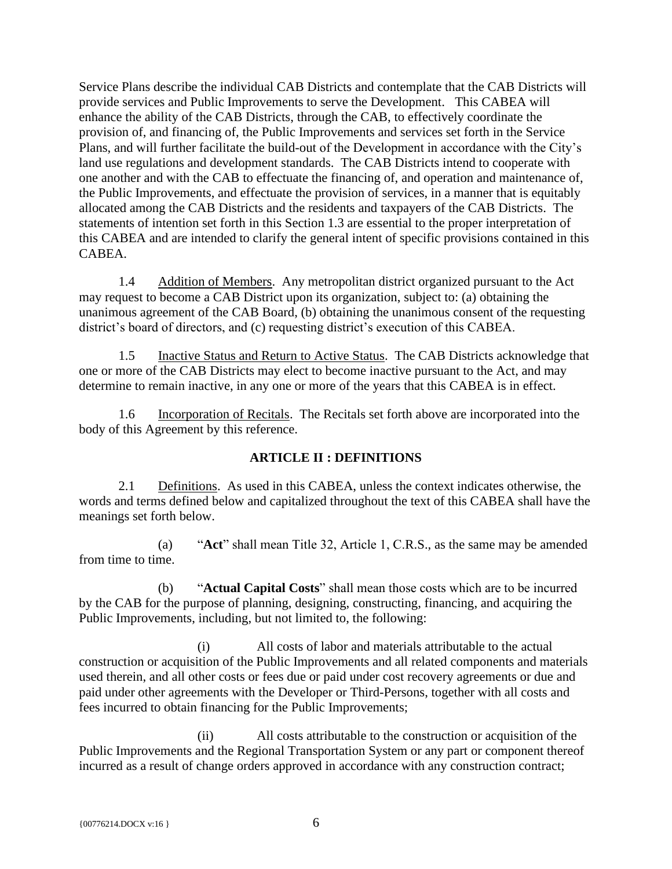Service Plans describe the individual CAB Districts and contemplate that the CAB Districts will provide services and Public Improvements to serve the Development. This CABEA will enhance the ability of the CAB Districts, through the CAB, to effectively coordinate the provision of, and financing of, the Public Improvements and services set forth in the Service Plans, and will further facilitate the build-out of the Development in accordance with the City's land use regulations and development standards. The CAB Districts intend to cooperate with one another and with the CAB to effectuate the financing of, and operation and maintenance of, the Public Improvements, and effectuate the provision of services, in a manner that is equitably allocated among the CAB Districts and the residents and taxpayers of the CAB Districts. The statements of intention set forth in this Section 1.3 are essential to the proper interpretation of this CABEA and are intended to clarify the general intent of specific provisions contained in this CABEA.

<span id="page-10-0"></span>1.4 Addition of Members. Any metropolitan district organized pursuant to the Act may request to become a CAB District upon its organization, subject to: (a) obtaining the unanimous agreement of the CAB Board, (b) obtaining the unanimous consent of the requesting district's board of directors, and (c) requesting district's execution of this CABEA.

<span id="page-10-1"></span>1.5 Inactive Status and Return to Active Status. The CAB Districts acknowledge that one or more of the CAB Districts may elect to become inactive pursuant to the Act, and may determine to remain inactive, in any one or more of the years that this CABEA is in effect.

<span id="page-10-2"></span>1.6 Incorporation of Recitals. The Recitals set forth above are incorporated into the body of this Agreement by this reference.

# **ARTICLE II : DEFINITIONS**

<span id="page-10-4"></span><span id="page-10-3"></span>2.1 Definitions. As used in this CABEA, unless the context indicates otherwise, the words and terms defined below and capitalized throughout the text of this CABEA shall have the meanings set forth below.

(a) "**Act**" shall mean Title 32, Article 1, C.R.S., as the same may be amended from time to time.

(b) "**Actual Capital Costs**" shall mean those costs which are to be incurred by the CAB for the purpose of planning, designing, constructing, financing, and acquiring the Public Improvements, including, but not limited to, the following:

(i) All costs of labor and materials attributable to the actual construction or acquisition of the Public Improvements and all related components and materials used therein, and all other costs or fees due or paid under cost recovery agreements or due and paid under other agreements with the Developer or Third-Persons, together with all costs and fees incurred to obtain financing for the Public Improvements;

(ii) All costs attributable to the construction or acquisition of the Public Improvements and the Regional Transportation System or any part or component thereof incurred as a result of change orders approved in accordance with any construction contract;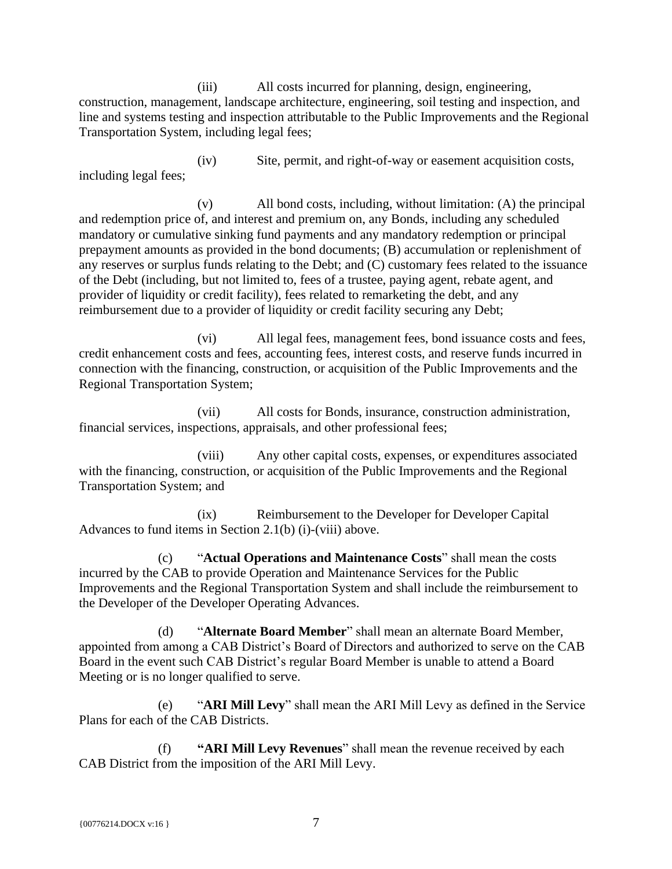(iii) All costs incurred for planning, design, engineering, construction, management, landscape architecture, engineering, soil testing and inspection, and line and systems testing and inspection attributable to the Public Improvements and the Regional Transportation System, including legal fees;

(iv) Site, permit, and right-of-way or easement acquisition costs, including legal fees;

(v) All bond costs, including, without limitation: (A) the principal and redemption price of, and interest and premium on, any Bonds, including any scheduled mandatory or cumulative sinking fund payments and any mandatory redemption or principal prepayment amounts as provided in the bond documents; (B) accumulation or replenishment of any reserves or surplus funds relating to the Debt; and (C) customary fees related to the issuance of the Debt (including, but not limited to, fees of a trustee, paying agent, rebate agent, and provider of liquidity or credit facility), fees related to remarketing the debt, and any reimbursement due to a provider of liquidity or credit facility securing any Debt;

(vi) All legal fees, management fees, bond issuance costs and fees, credit enhancement costs and fees, accounting fees, interest costs, and reserve funds incurred in connection with the financing, construction, or acquisition of the Public Improvements and the Regional Transportation System;

(vii) All costs for Bonds, insurance, construction administration, financial services, inspections, appraisals, and other professional fees;

(viii) Any other capital costs, expenses, or expenditures associated with the financing, construction, or acquisition of the Public Improvements and the Regional Transportation System; and

(ix) Reimbursement to the Developer for Developer Capital Advances to fund items in Section 2.1(b) (i)-(viii) above.

(c) "**Actual Operations and Maintenance Costs**" shall mean the costs incurred by the CAB to provide Operation and Maintenance Services for the Public Improvements and the Regional Transportation System and shall include the reimbursement to the Developer of the Developer Operating Advances.

(d) "**Alternate Board Member**" shall mean an alternate Board Member, appointed from among a CAB District's Board of Directors and authorized to serve on the CAB Board in the event such CAB District's regular Board Member is unable to attend a Board Meeting or is no longer qualified to serve.

(e) "**ARI Mill Levy**" shall mean the ARI Mill Levy as defined in the Service Plans for each of the CAB Districts.

(f) **"ARI Mill Levy Revenues**" shall mean the revenue received by each CAB District from the imposition of the ARI Mill Levy.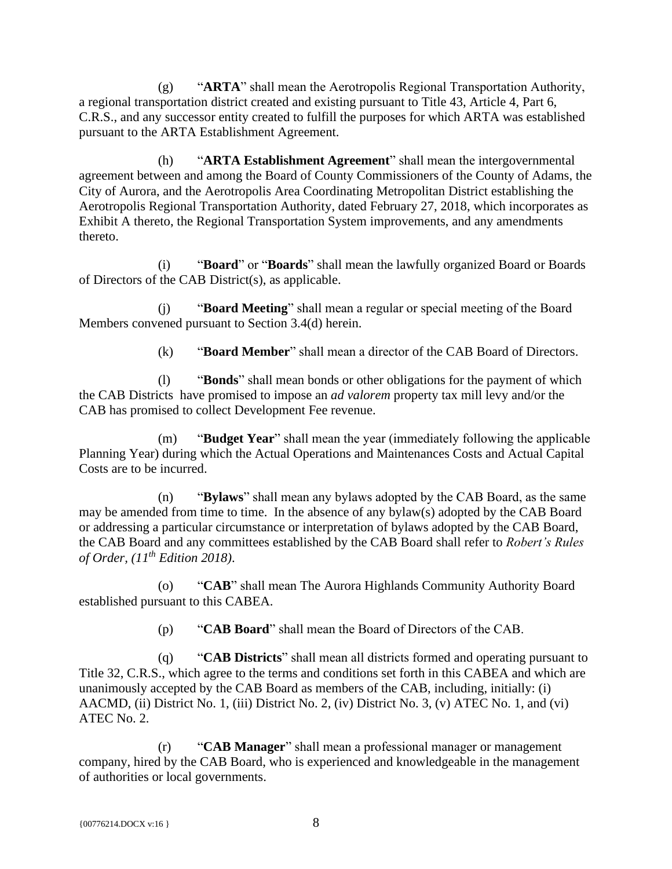(g) "**ARTA**" shall mean the Aerotropolis Regional Transportation Authority, a regional transportation district created and existing pursuant to Title 43, Article 4, Part 6, C.R.S., and any successor entity created to fulfill the purposes for which ARTA was established pursuant to the ARTA Establishment Agreement.

(h) "**ARTA Establishment Agreement**" shall mean the intergovernmental agreement between and among the Board of County Commissioners of the County of Adams, the City of Aurora, and the Aerotropolis Area Coordinating Metropolitan District establishing the Aerotropolis Regional Transportation Authority, dated February 27, 2018, which incorporates as Exhibit A thereto, the Regional Transportation System improvements, and any amendments thereto.

(i) "**Board**" or "**Boards**" shall mean the lawfully organized Board or Boards of Directors of the CAB District(s), as applicable.

(j) "**Board Meeting**" shall mean a regular or special meeting of the Board Members convened pursuant to Section 3.4(d) herein.

(k) "**Board Member**" shall mean a director of the CAB Board of Directors.

(l) "**Bonds**" shall mean bonds or other obligations for the payment of which the CAB Districts have promised to impose an *ad valorem* property tax mill levy and/or the CAB has promised to collect Development Fee revenue.

(m) "**Budget Year**" shall mean the year (immediately following the applicable Planning Year) during which the Actual Operations and Maintenances Costs and Actual Capital Costs are to be incurred.

(n) "**Bylaws**" shall mean any bylaws adopted by the CAB Board, as the same may be amended from time to time. In the absence of any bylaw(s) adopted by the CAB Board or addressing a particular circumstance or interpretation of bylaws adopted by the CAB Board, the CAB Board and any committees established by the CAB Board shall refer to *Robert's Rules of Order, (11th Edition 2018)*.

(o) "**CAB**" shall mean The Aurora Highlands Community Authority Board established pursuant to this CABEA.

(p) "**CAB Board**" shall mean the Board of Directors of the CAB.

(q) "**CAB Districts**" shall mean all districts formed and operating pursuant to Title 32, C.R.S., which agree to the terms and conditions set forth in this CABEA and which are unanimously accepted by the CAB Board as members of the CAB, including, initially: (i) AACMD, (ii) District No. 1, (iii) District No. 2, (iv) District No. 3, (v) ATEC No. 1, and (vi) ATEC No. 2.

(r) "**CAB Manager**" shall mean a professional manager or management company, hired by the CAB Board, who is experienced and knowledgeable in the management of authorities or local governments.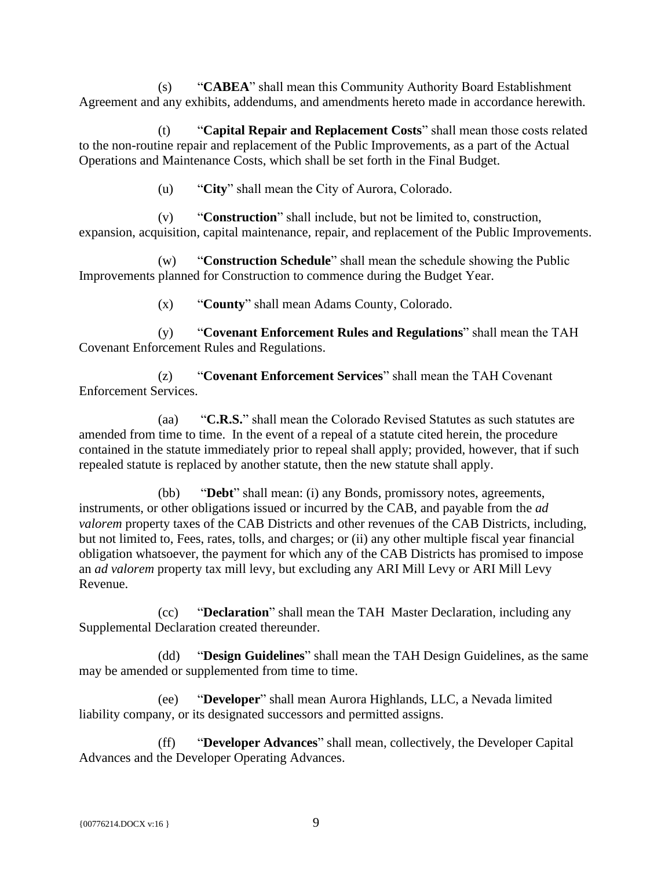(s) "**CABEA**" shall mean this Community Authority Board Establishment Agreement and any exhibits, addendums, and amendments hereto made in accordance herewith.

(t) "**Capital Repair and Replacement Costs**" shall mean those costs related to the non-routine repair and replacement of the Public Improvements, as a part of the Actual Operations and Maintenance Costs, which shall be set forth in the Final Budget.

(u) "**City**" shall mean the City of Aurora, Colorado.

(v) "**Construction**" shall include, but not be limited to, construction, expansion, acquisition, capital maintenance, repair, and replacement of the Public Improvements.

(w) "**Construction Schedule**" shall mean the schedule showing the Public Improvements planned for Construction to commence during the Budget Year.

(x) "**County**" shall mean Adams County, Colorado.

(y) "**Covenant Enforcement Rules and Regulations**" shall mean the TAH Covenant Enforcement Rules and Regulations.

(z) "**Covenant Enforcement Services**" shall mean the TAH Covenant Enforcement Services.

(aa) "**C.R.S.**" shall mean the Colorado Revised Statutes as such statutes are amended from time to time. In the event of a repeal of a statute cited herein, the procedure contained in the statute immediately prior to repeal shall apply; provided, however, that if such repealed statute is replaced by another statute, then the new statute shall apply.

(bb) "**Debt**" shall mean: (i) any Bonds, promissory notes, agreements, instruments, or other obligations issued or incurred by the CAB, and payable from the *ad valorem* property taxes of the CAB Districts and other revenues of the CAB Districts, including, but not limited to, Fees, rates, tolls, and charges; or (ii) any other multiple fiscal year financial obligation whatsoever, the payment for which any of the CAB Districts has promised to impose an *ad valorem* property tax mill levy, but excluding any ARI Mill Levy or ARI Mill Levy Revenue.

(cc) "**Declaration**" shall mean the TAH Master Declaration, including any Supplemental Declaration created thereunder.

(dd) "**Design Guidelines**" shall mean the TAH Design Guidelines, as the same may be amended or supplemented from time to time.

(ee) "**Developer**" shall mean Aurora Highlands, LLC, a Nevada limited liability company, or its designated successors and permitted assigns.

(ff) "**Developer Advances**" shall mean, collectively, the Developer Capital Advances and the Developer Operating Advances.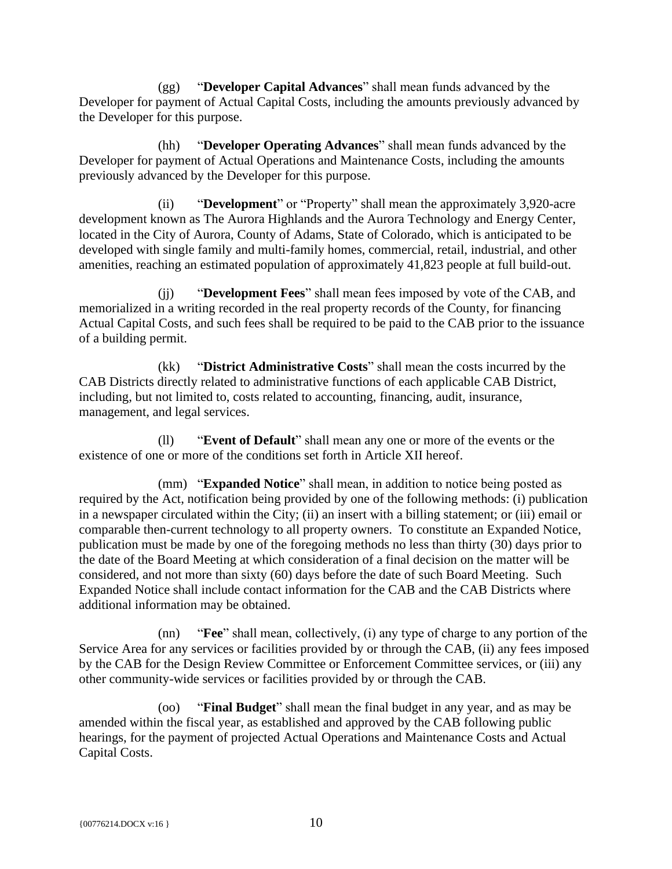(gg) "**Developer Capital Advances**" shall mean funds advanced by the Developer for payment of Actual Capital Costs, including the amounts previously advanced by the Developer for this purpose.

(hh) "**Developer Operating Advances**" shall mean funds advanced by the Developer for payment of Actual Operations and Maintenance Costs, including the amounts previously advanced by the Developer for this purpose.

(ii) "**Development**" or "Property" shall mean the approximately 3,920-acre development known as The Aurora Highlands and the Aurora Technology and Energy Center, located in the City of Aurora, County of Adams, State of Colorado, which is anticipated to be developed with single family and multi-family homes, commercial, retail, industrial, and other amenities, reaching an estimated population of approximately 41,823 people at full build-out.

(jj) "**Development Fees**" shall mean fees imposed by vote of the CAB, and memorialized in a writing recorded in the real property records of the County, for financing Actual Capital Costs, and such fees shall be required to be paid to the CAB prior to the issuance of a building permit.

(kk) "**District Administrative Costs**" shall mean the costs incurred by the CAB Districts directly related to administrative functions of each applicable CAB District, including, but not limited to, costs related to accounting, financing, audit, insurance, management, and legal services.

(ll) "**Event of Default**" shall mean any one or more of the events or the existence of one or more of the conditions set forth in Article XII hereof.

(mm) "**Expanded Notice**" shall mean, in addition to notice being posted as required by the Act, notification being provided by one of the following methods: (i) publication in a newspaper circulated within the City; (ii) an insert with a billing statement; or (iii) email or comparable then-current technology to all property owners. To constitute an Expanded Notice, publication must be made by one of the foregoing methods no less than thirty (30) days prior to the date of the Board Meeting at which consideration of a final decision on the matter will be considered, and not more than sixty (60) days before the date of such Board Meeting. Such Expanded Notice shall include contact information for the CAB and the CAB Districts where additional information may be obtained.

(nn) "**Fee**" shall mean, collectively, (i) any type of charge to any portion of the Service Area for any services or facilities provided by or through the CAB, (ii) any fees imposed by the CAB for the Design Review Committee or Enforcement Committee services, or (iii) any other community-wide services or facilities provided by or through the CAB.

(oo) "**Final Budget**" shall mean the final budget in any year, and as may be amended within the fiscal year, as established and approved by the CAB following public hearings, for the payment of projected Actual Operations and Maintenance Costs and Actual Capital Costs.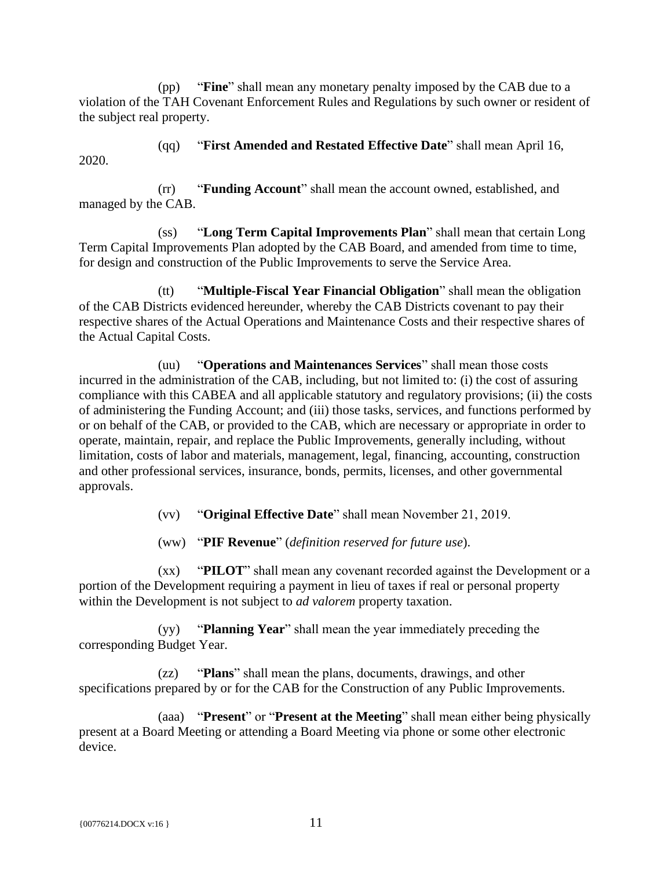(pp) "**Fine**" shall mean any monetary penalty imposed by the CAB due to a violation of the TAH Covenant Enforcement Rules and Regulations by such owner or resident of the subject real property.

2020.

(qq) "**First Amended and Restated Effective Date**" shall mean April 16,

(rr) "**Funding Account**" shall mean the account owned, established, and managed by the CAB.

(ss) "**Long Term Capital Improvements Plan**" shall mean that certain Long Term Capital Improvements Plan adopted by the CAB Board, and amended from time to time, for design and construction of the Public Improvements to serve the Service Area.

(tt) "**Multiple-Fiscal Year Financial Obligation**" shall mean the obligation of the CAB Districts evidenced hereunder, whereby the CAB Districts covenant to pay their respective shares of the Actual Operations and Maintenance Costs and their respective shares of the Actual Capital Costs.

(uu) "**Operations and Maintenances Services**" shall mean those costs incurred in the administration of the CAB, including, but not limited to: (i) the cost of assuring compliance with this CABEA and all applicable statutory and regulatory provisions; (ii) the costs of administering the Funding Account; and (iii) those tasks, services, and functions performed by or on behalf of the CAB, or provided to the CAB, which are necessary or appropriate in order to operate, maintain, repair, and replace the Public Improvements, generally including, without limitation, costs of labor and materials, management, legal, financing, accounting, construction and other professional services, insurance, bonds, permits, licenses, and other governmental approvals.

(vv) "**Original Effective Date**" shall mean November 21, 2019.

(ww) "**PIF Revenue**" (*definition reserved for future use*).

(xx) "**PILOT**" shall mean any covenant recorded against the Development or a portion of the Development requiring a payment in lieu of taxes if real or personal property within the Development is not subject to *ad valorem* property taxation.

(yy) "**Planning Year**" shall mean the year immediately preceding the corresponding Budget Year.

(zz) "**Plans**" shall mean the plans, documents, drawings, and other specifications prepared by or for the CAB for the Construction of any Public Improvements.

(aaa) "**Present**" or "**Present at the Meeting**" shall mean either being physically present at a Board Meeting or attending a Board Meeting via phone or some other electronic device.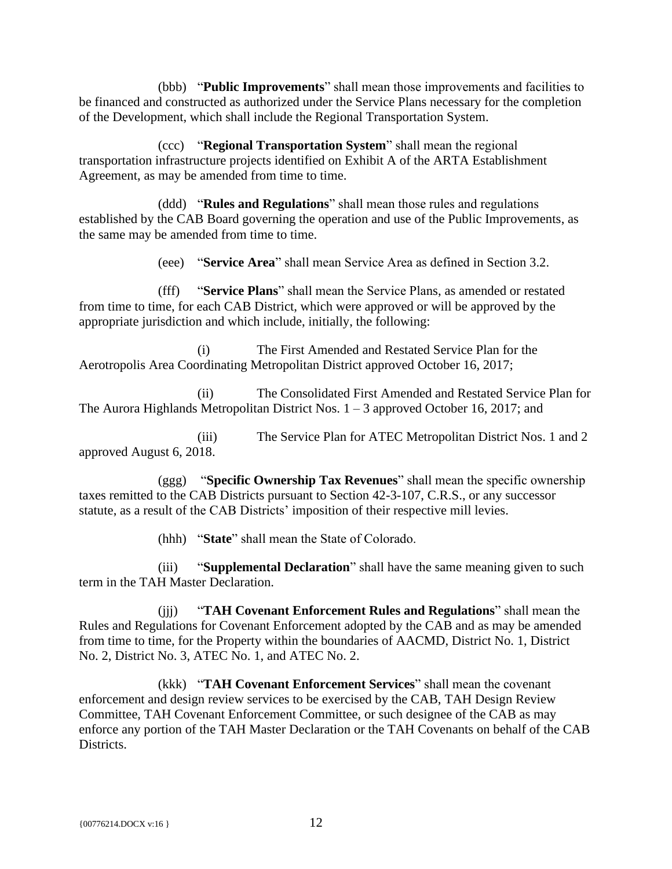(bbb) "**Public Improvements**" shall mean those improvements and facilities to be financed and constructed as authorized under the Service Plans necessary for the completion of the Development, which shall include the Regional Transportation System.

(ccc) "**Regional Transportation System**" shall mean the regional transportation infrastructure projects identified on Exhibit A of the ARTA Establishment Agreement, as may be amended from time to time.

(ddd) "**Rules and Regulations**" shall mean those rules and regulations established by the CAB Board governing the operation and use of the Public Improvements, as the same may be amended from time to time.

(eee) "**Service Area**" shall mean Service Area as defined in Section 3.2.

(fff) "**Service Plans**" shall mean the Service Plans, as amended or restated from time to time, for each CAB District, which were approved or will be approved by the appropriate jurisdiction and which include, initially, the following:

(i) The First Amended and Restated Service Plan for the Aerotropolis Area Coordinating Metropolitan District approved October 16, 2017;

(ii) The Consolidated First Amended and Restated Service Plan for The Aurora Highlands Metropolitan District Nos.  $1 - 3$  approved October 16, 2017; and

(iii) The Service Plan for ATEC Metropolitan District Nos. 1 and 2 approved August 6, 2018.

(ggg) "**Specific Ownership Tax Revenues**" shall mean the specific ownership taxes remitted to the CAB Districts pursuant to Section 42-3-107, C.R.S., or any successor statute, as a result of the CAB Districts' imposition of their respective mill levies.

(hhh) "**State**" shall mean the State of Colorado.

(iii) "**Supplemental Declaration**" shall have the same meaning given to such term in the TAH Master Declaration.

(jjj) "**TAH Covenant Enforcement Rules and Regulations**" shall mean the Rules and Regulations for Covenant Enforcement adopted by the CAB and as may be amended from time to time, for the Property within the boundaries of AACMD, District No. 1, District No. 2, District No. 3, ATEC No. 1, and ATEC No. 2.

(kkk) "**TAH Covenant Enforcement Services**" shall mean the covenant enforcement and design review services to be exercised by the CAB, TAH Design Review Committee, TAH Covenant Enforcement Committee, or such designee of the CAB as may enforce any portion of the TAH Master Declaration or the TAH Covenants on behalf of the CAB Districts.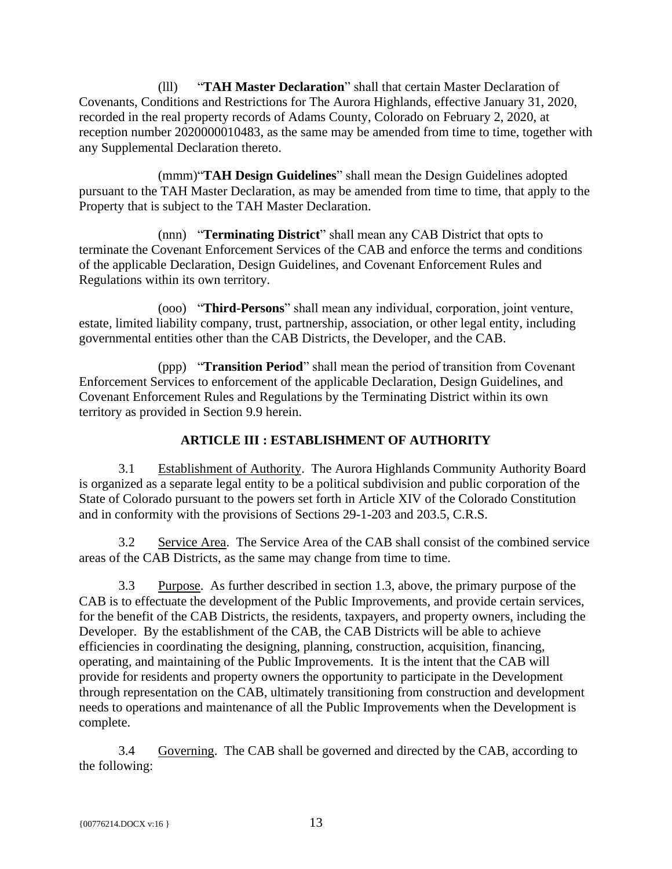(lll) "**TAH Master Declaration**" shall that certain Master Declaration of Covenants, Conditions and Restrictions for The Aurora Highlands, effective January 31, 2020, recorded in the real property records of Adams County, Colorado on February 2, 2020, at reception number 2020000010483, as the same may be amended from time to time, together with any Supplemental Declaration thereto.

(mmm)"**TAH Design Guidelines**" shall mean the Design Guidelines adopted pursuant to the TAH Master Declaration, as may be amended from time to time, that apply to the Property that is subject to the TAH Master Declaration.

(nnn) "**Terminating District**" shall mean any CAB District that opts to terminate the Covenant Enforcement Services of the CAB and enforce the terms and conditions of the applicable Declaration, Design Guidelines, and Covenant Enforcement Rules and Regulations within its own territory.

(ooo) "**Third-Persons**" shall mean any individual, corporation, joint venture, estate, limited liability company, trust, partnership, association, or other legal entity, including governmental entities other than the CAB Districts, the Developer, and the CAB.

(ppp) "**Transition Period**" shall mean the period of transition from Covenant Enforcement Services to enforcement of the applicable Declaration, Design Guidelines, and Covenant Enforcement Rules and Regulations by the Terminating District within its own territory as provided in Section 9.9 herein.

# **ARTICLE III : ESTABLISHMENT OF AUTHORITY**

<span id="page-17-1"></span><span id="page-17-0"></span>3.1 Establishment of Authority. The Aurora Highlands Community Authority Board is organized as a separate legal entity to be a political subdivision and public corporation of the State of Colorado pursuant to the powers set forth in Article XIV of the Colorado Constitution and in conformity with the provisions of Sections 29-1-203 and 203.5, C.R.S.

<span id="page-17-2"></span>3.2 Service Area. The Service Area of the CAB shall consist of the combined service areas of the CAB Districts, as the same may change from time to time.

<span id="page-17-3"></span>3.3 Purpose. As further described in section 1.3, above, the primary purpose of the CAB is to effectuate the development of the Public Improvements, and provide certain services, for the benefit of the CAB Districts, the residents, taxpayers, and property owners, including the Developer. By the establishment of the CAB, the CAB Districts will be able to achieve efficiencies in coordinating the designing, planning, construction, acquisition, financing, operating, and maintaining of the Public Improvements. It is the intent that the CAB will provide for residents and property owners the opportunity to participate in the Development through representation on the CAB, ultimately transitioning from construction and development needs to operations and maintenance of all the Public Improvements when the Development is complete.

<span id="page-17-4"></span>3.4 Governing. The CAB shall be governed and directed by the CAB, according to the following: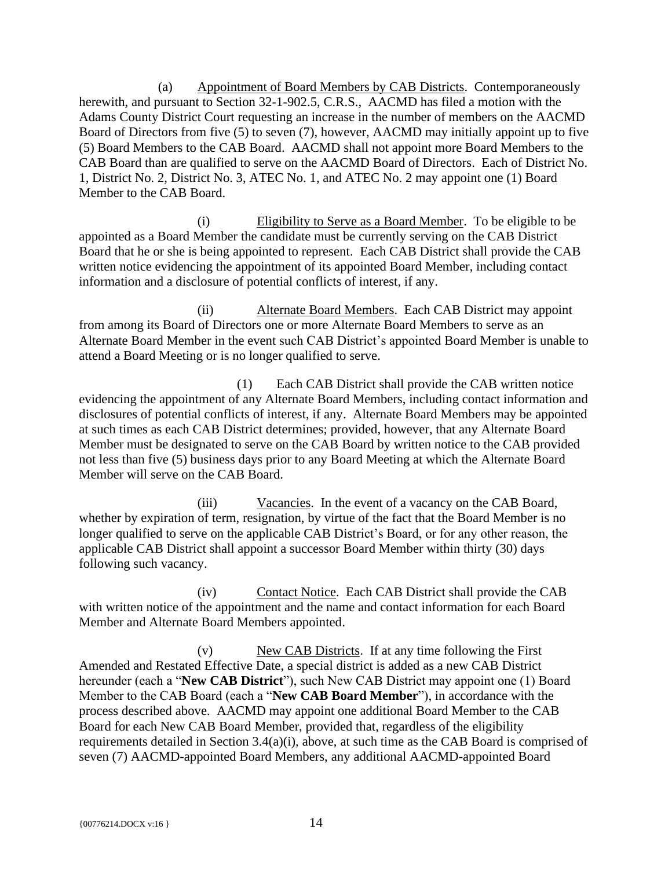(a) Appointment of Board Members by CAB Districts. Contemporaneously herewith, and pursuant to Section 32-1-902.5, C.R.S., AACMD has filed a motion with the Adams County District Court requesting an increase in the number of members on the AACMD Board of Directors from five (5) to seven (7), however, AACMD may initially appoint up to five (5) Board Members to the CAB Board. AACMD shall not appoint more Board Members to the CAB Board than are qualified to serve on the AACMD Board of Directors. Each of District No. 1, District No. 2, District No. 3, ATEC No. 1, and ATEC No. 2 may appoint one (1) Board Member to the CAB Board.

(i) Eligibility to Serve as a Board Member. To be eligible to be appointed as a Board Member the candidate must be currently serving on the CAB District Board that he or she is being appointed to represent. Each CAB District shall provide the CAB written notice evidencing the appointment of its appointed Board Member, including contact information and a disclosure of potential conflicts of interest, if any.

(ii) Alternate Board Members. Each CAB District may appoint from among its Board of Directors one or more Alternate Board Members to serve as an Alternate Board Member in the event such CAB District's appointed Board Member is unable to attend a Board Meeting or is no longer qualified to serve.

(1) Each CAB District shall provide the CAB written notice evidencing the appointment of any Alternate Board Members, including contact information and disclosures of potential conflicts of interest, if any. Alternate Board Members may be appointed at such times as each CAB District determines; provided, however, that any Alternate Board Member must be designated to serve on the CAB Board by written notice to the CAB provided not less than five (5) business days prior to any Board Meeting at which the Alternate Board Member will serve on the CAB Board.

(iii) Vacancies. In the event of a vacancy on the CAB Board, whether by expiration of term, resignation, by virtue of the fact that the Board Member is no longer qualified to serve on the applicable CAB District's Board, or for any other reason, the applicable CAB District shall appoint a successor Board Member within thirty (30) days following such vacancy.

(iv) Contact Notice. Each CAB District shall provide the CAB with written notice of the appointment and the name and contact information for each Board Member and Alternate Board Members appointed.

(v) New CAB Districts. If at any time following the First Amended and Restated Effective Date, a special district is added as a new CAB District hereunder (each a "**New CAB District**"), such New CAB District may appoint one (1) Board Member to the CAB Board (each a "**New CAB Board Member**"), in accordance with the process described above. AACMD may appoint one additional Board Member to the CAB Board for each New CAB Board Member, provided that, regardless of the eligibility requirements detailed in Section 3.4(a)(i), above, at such time as the CAB Board is comprised of seven (7) AACMD-appointed Board Members, any additional AACMD-appointed Board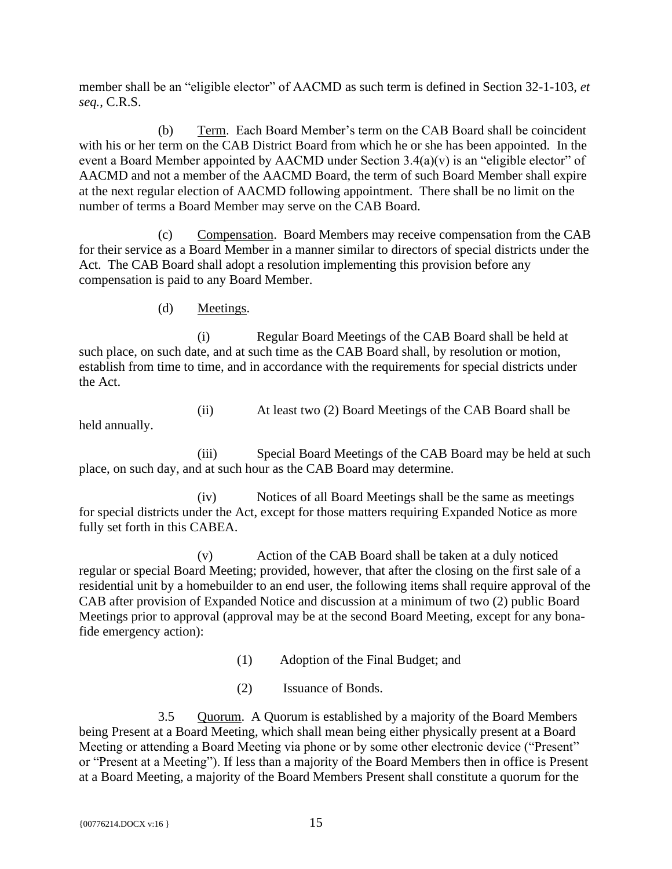member shall be an "eligible elector" of AACMD as such term is defined in Section 32-1-103, *et seq.*, C.R.S.

(b) Term. Each Board Member's term on the CAB Board shall be coincident with his or her term on the CAB District Board from which he or she has been appointed. In the event a Board Member appointed by AACMD under Section 3.4(a)(v) is an "eligible elector" of AACMD and not a member of the AACMD Board, the term of such Board Member shall expire at the next regular election of AACMD following appointment. There shall be no limit on the number of terms a Board Member may serve on the CAB Board.

(c) Compensation. Board Members may receive compensation from the CAB for their service as a Board Member in a manner similar to directors of special districts under the Act. The CAB Board shall adopt a resolution implementing this provision before any compensation is paid to any Board Member.

(d) Meetings.

(i) Regular Board Meetings of the CAB Board shall be held at such place, on such date, and at such time as the CAB Board shall, by resolution or motion, establish from time to time, and in accordance with the requirements for special districts under the Act.

(ii) At least two (2) Board Meetings of the CAB Board shall be held annually.

(iii) Special Board Meetings of the CAB Board may be held at such place, on such day, and at such hour as the CAB Board may determine.

(iv) Notices of all Board Meetings shall be the same as meetings for special districts under the Act, except for those matters requiring Expanded Notice as more fully set forth in this CABEA.

(v) Action of the CAB Board shall be taken at a duly noticed regular or special Board Meeting; provided, however, that after the closing on the first sale of a residential unit by a homebuilder to an end user, the following items shall require approval of the CAB after provision of Expanded Notice and discussion at a minimum of two (2) public Board Meetings prior to approval (approval may be at the second Board Meeting, except for any bonafide emergency action):

(1) Adoption of the Final Budget; and

(2) Issuance of Bonds.

<span id="page-19-0"></span>3.5 Quorum. A Quorum is established by a majority of the Board Members being Present at a Board Meeting, which shall mean being either physically present at a Board Meeting or attending a Board Meeting via phone or by some other electronic device ("Present" or "Present at a Meeting"). If less than a majority of the Board Members then in office is Present at a Board Meeting, a majority of the Board Members Present shall constitute a quorum for the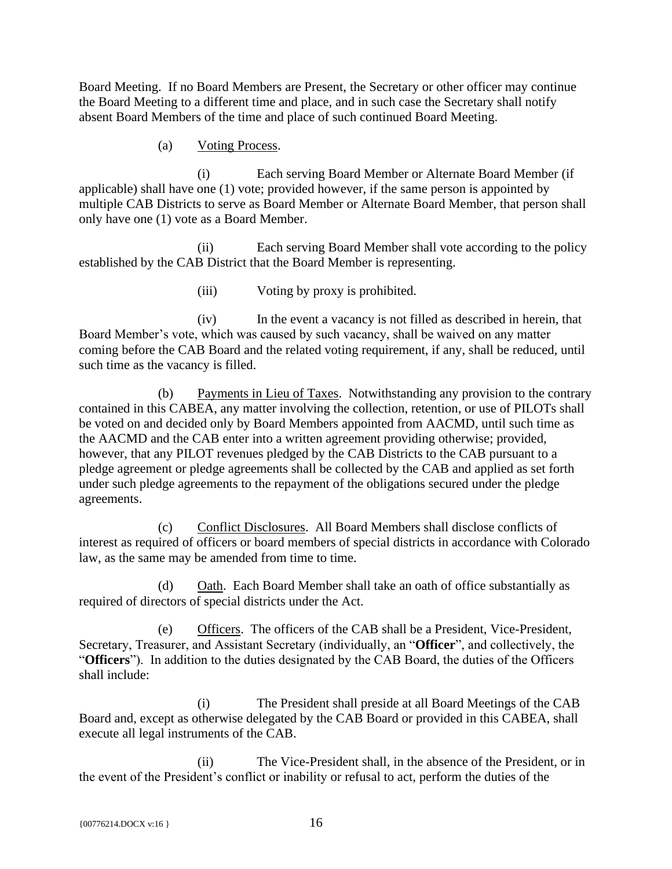Board Meeting. If no Board Members are Present, the Secretary or other officer may continue the Board Meeting to a different time and place, and in such case the Secretary shall notify absent Board Members of the time and place of such continued Board Meeting.

#### (a) Voting Process.

(i) Each serving Board Member or Alternate Board Member (if applicable) shall have one (1) vote; provided however, if the same person is appointed by multiple CAB Districts to serve as Board Member or Alternate Board Member, that person shall only have one (1) vote as a Board Member.

(ii) Each serving Board Member shall vote according to the policy established by the CAB District that the Board Member is representing.

(iii) Voting by proxy is prohibited.

(iv) In the event a vacancy is not filled as described in herein, that Board Member's vote, which was caused by such vacancy, shall be waived on any matter coming before the CAB Board and the related voting requirement, if any, shall be reduced, until such time as the vacancy is filled.

(b) Payments in Lieu of Taxes. Notwithstanding any provision to the contrary contained in this CABEA, any matter involving the collection, retention, or use of PILOTs shall be voted on and decided only by Board Members appointed from AACMD, until such time as the AACMD and the CAB enter into a written agreement providing otherwise; provided, however, that any PILOT revenues pledged by the CAB Districts to the CAB pursuant to a pledge agreement or pledge agreements shall be collected by the CAB and applied as set forth under such pledge agreements to the repayment of the obligations secured under the pledge agreements.

(c) Conflict Disclosures. All Board Members shall disclose conflicts of interest as required of officers or board members of special districts in accordance with Colorado law, as the same may be amended from time to time.

(d) Oath. Each Board Member shall take an oath of office substantially as required of directors of special districts under the Act.

(e) Officers. The officers of the CAB shall be a President, Vice-President, Secretary, Treasurer, and Assistant Secretary (individually, an "**Officer**", and collectively, the "**Officers**"). In addition to the duties designated by the CAB Board, the duties of the Officers shall include:

(i) The President shall preside at all Board Meetings of the CAB Board and, except as otherwise delegated by the CAB Board or provided in this CABEA, shall execute all legal instruments of the CAB.

(ii) The Vice-President shall, in the absence of the President, or in the event of the President's conflict or inability or refusal to act, perform the duties of the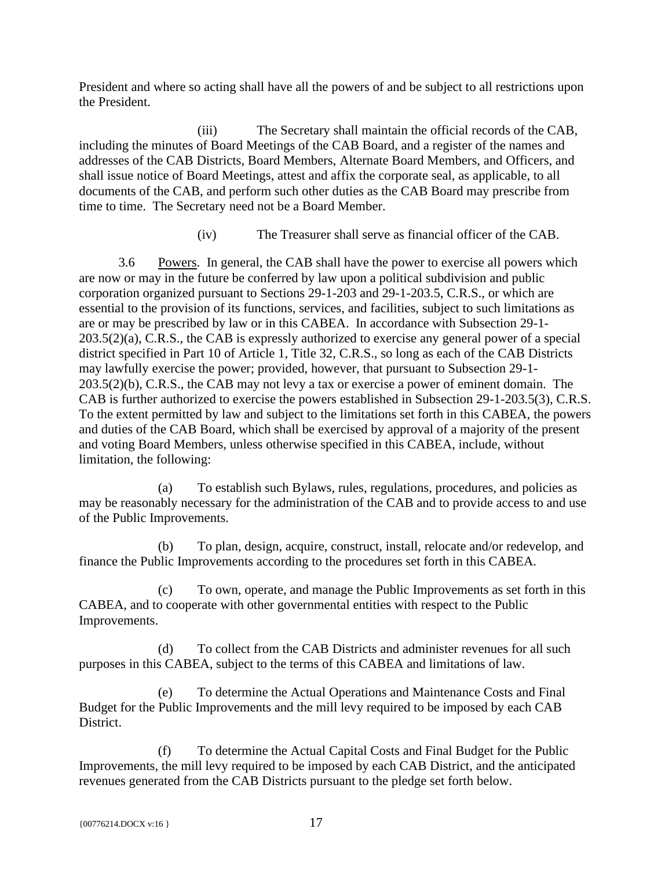President and where so acting shall have all the powers of and be subject to all restrictions upon the President.

(iii) The Secretary shall maintain the official records of the CAB, including the minutes of Board Meetings of the CAB Board, and a register of the names and addresses of the CAB Districts, Board Members, Alternate Board Members, and Officers, and shall issue notice of Board Meetings, attest and affix the corporate seal, as applicable, to all documents of the CAB, and perform such other duties as the CAB Board may prescribe from time to time. The Secretary need not be a Board Member.

(iv) The Treasurer shall serve as financial officer of the CAB.

<span id="page-21-0"></span>3.6 Powers. In general, the CAB shall have the power to exercise all powers which are now or may in the future be conferred by law upon a political subdivision and public corporation organized pursuant to Sections 29-1-203 and 29-1-203.5, C.R.S., or which are essential to the provision of its functions, services, and facilities, subject to such limitations as are or may be prescribed by law or in this CABEA. In accordance with Subsection 29-1- 203.5(2)(a), C.R.S., the CAB is expressly authorized to exercise any general power of a special district specified in Part 10 of Article 1, Title 32, C.R.S., so long as each of the CAB Districts may lawfully exercise the power; provided, however, that pursuant to Subsection 29-1- 203.5(2)(b), C.R.S., the CAB may not levy a tax or exercise a power of eminent domain. The CAB is further authorized to exercise the powers established in Subsection 29-1-203.5(3), C.R.S. To the extent permitted by law and subject to the limitations set forth in this CABEA, the powers and duties of the CAB Board, which shall be exercised by approval of a majority of the present and voting Board Members, unless otherwise specified in this CABEA, include, without limitation, the following:

(a) To establish such Bylaws, rules, regulations, procedures, and policies as may be reasonably necessary for the administration of the CAB and to provide access to and use of the Public Improvements.

(b) To plan, design, acquire, construct, install, relocate and/or redevelop, and finance the Public Improvements according to the procedures set forth in this CABEA.

(c) To own, operate, and manage the Public Improvements as set forth in this CABEA, and to cooperate with other governmental entities with respect to the Public Improvements.

(d) To collect from the CAB Districts and administer revenues for all such purposes in this CABEA, subject to the terms of this CABEA and limitations of law.

(e) To determine the Actual Operations and Maintenance Costs and Final Budget for the Public Improvements and the mill levy required to be imposed by each CAB District.

(f) To determine the Actual Capital Costs and Final Budget for the Public Improvements, the mill levy required to be imposed by each CAB District, and the anticipated revenues generated from the CAB Districts pursuant to the pledge set forth below.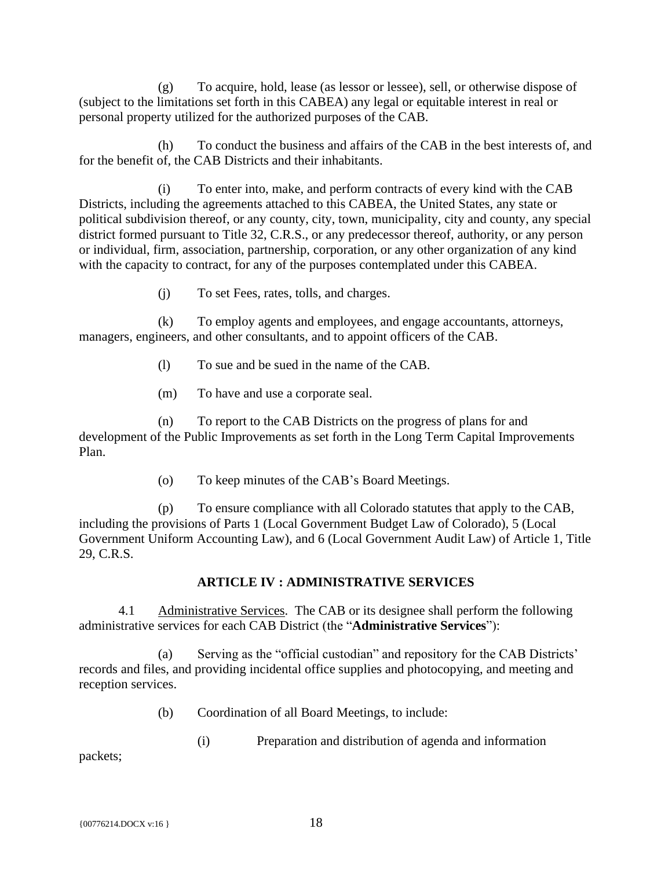(g) To acquire, hold, lease (as lessor or lessee), sell, or otherwise dispose of (subject to the limitations set forth in this CABEA) any legal or equitable interest in real or personal property utilized for the authorized purposes of the CAB.

(h) To conduct the business and affairs of the CAB in the best interests of, and for the benefit of, the CAB Districts and their inhabitants.

(i) To enter into, make, and perform contracts of every kind with the CAB Districts, including the agreements attached to this CABEA, the United States, any state or political subdivision thereof, or any county, city, town, municipality, city and county, any special district formed pursuant to Title 32, C.R.S., or any predecessor thereof, authority, or any person or individual, firm, association, partnership, corporation, or any other organization of any kind with the capacity to contract, for any of the purposes contemplated under this CABEA.

(j) To set Fees, rates, tolls, and charges.

(k) To employ agents and employees, and engage accountants, attorneys, managers, engineers, and other consultants, and to appoint officers of the CAB.

- (l) To sue and be sued in the name of the CAB.
- (m) To have and use a corporate seal.

(n) To report to the CAB Districts on the progress of plans for and development of the Public Improvements as set forth in the Long Term Capital Improvements Plan.

(o) To keep minutes of the CAB's Board Meetings.

(p) To ensure compliance with all Colorado statutes that apply to the CAB, including the provisions of Parts 1 (Local Government Budget Law of Colorado), 5 (Local Government Uniform Accounting Law), and 6 (Local Government Audit Law) of Article 1, Title 29, C.R.S.

# **ARTICLE IV : ADMINISTRATIVE SERVICES**

<span id="page-22-1"></span><span id="page-22-0"></span>4.1 Administrative Services. The CAB or its designee shall perform the following administrative services for each CAB District (the "**Administrative Services**"):

(a) Serving as the "official custodian" and repository for the CAB Districts' records and files, and providing incidental office supplies and photocopying, and meeting and reception services.

(b) Coordination of all Board Meetings, to include:

(i) Preparation and distribution of agenda and information

packets;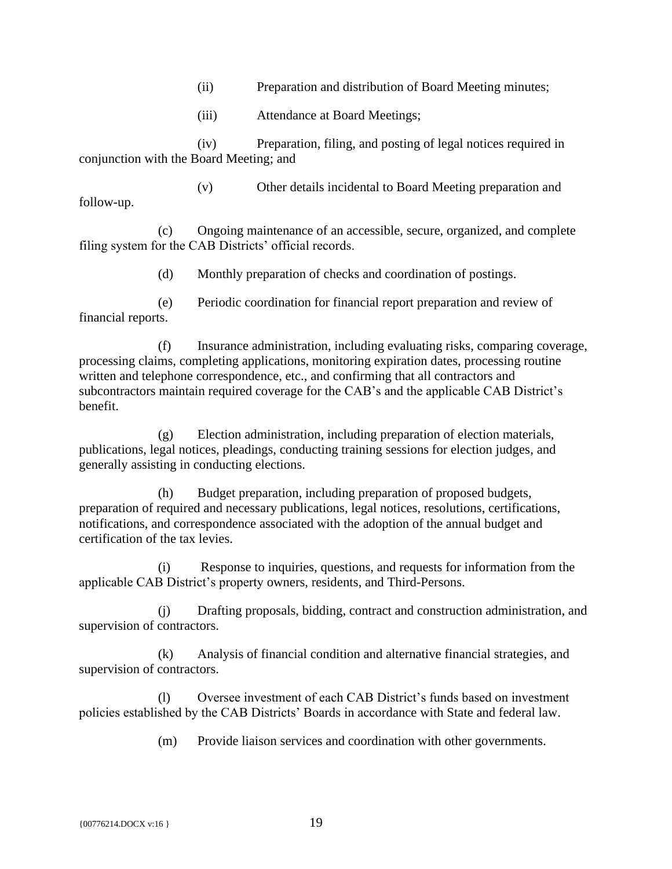- (ii) Preparation and distribution of Board Meeting minutes;
- (iii) Attendance at Board Meetings;

(iv) Preparation, filing, and posting of legal notices required in conjunction with the Board Meeting; and

follow-up.

(v) Other details incidental to Board Meeting preparation and

(c) Ongoing maintenance of an accessible, secure, organized, and complete filing system for the CAB Districts' official records.

(d) Monthly preparation of checks and coordination of postings.

(e) Periodic coordination for financial report preparation and review of financial reports.

(f) Insurance administration, including evaluating risks, comparing coverage, processing claims, completing applications, monitoring expiration dates, processing routine written and telephone correspondence, etc., and confirming that all contractors and subcontractors maintain required coverage for the CAB's and the applicable CAB District's benefit.

(g) Election administration, including preparation of election materials, publications, legal notices, pleadings, conducting training sessions for election judges, and generally assisting in conducting elections.

(h) Budget preparation, including preparation of proposed budgets, preparation of required and necessary publications, legal notices, resolutions, certifications, notifications, and correspondence associated with the adoption of the annual budget and certification of the tax levies.

(i) Response to inquiries, questions, and requests for information from the applicable CAB District's property owners, residents, and Third-Persons.

(j) Drafting proposals, bidding, contract and construction administration, and supervision of contractors.

(k) Analysis of financial condition and alternative financial strategies, and supervision of contractors.

(l) Oversee investment of each CAB District's funds based on investment policies established by the CAB Districts' Boards in accordance with State and federal law.

(m) Provide liaison services and coordination with other governments.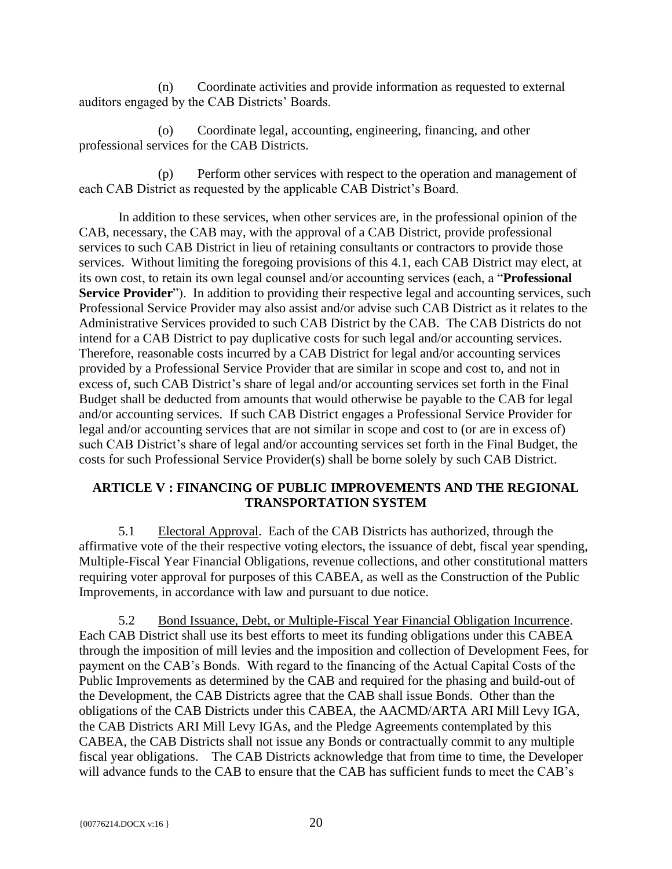(n) Coordinate activities and provide information as requested to external auditors engaged by the CAB Districts' Boards.

(o) Coordinate legal, accounting, engineering, financing, and other professional services for the CAB Districts.

(p) Perform other services with respect to the operation and management of each CAB District as requested by the applicable CAB District's Board.

In addition to these services, when other services are, in the professional opinion of the CAB, necessary, the CAB may, with the approval of a CAB District, provide professional services to such CAB District in lieu of retaining consultants or contractors to provide those services. Without limiting the foregoing provisions of this 4.1, each CAB District may elect, at its own cost, to retain its own legal counsel and/or accounting services (each, a "**Professional Service Provider**"). In addition to providing their respective legal and accounting services, such Professional Service Provider may also assist and/or advise such CAB District as it relates to the Administrative Services provided to such CAB District by the CAB. The CAB Districts do not intend for a CAB District to pay duplicative costs for such legal and/or accounting services. Therefore, reasonable costs incurred by a CAB District for legal and/or accounting services provided by a Professional Service Provider that are similar in scope and cost to, and not in excess of, such CAB District's share of legal and/or accounting services set forth in the Final Budget shall be deducted from amounts that would otherwise be payable to the CAB for legal and/or accounting services. If such CAB District engages a Professional Service Provider for legal and/or accounting services that are not similar in scope and cost to (or are in excess of) such CAB District's share of legal and/or accounting services set forth in the Final Budget, the costs for such Professional Service Provider(s) shall be borne solely by such CAB District.

# <span id="page-24-0"></span>**ARTICLE V : FINANCING OF PUBLIC IMPROVEMENTS AND THE REGIONAL TRANSPORTATION SYSTEM**

<span id="page-24-1"></span>5.1 Electoral Approval. Each of the CAB Districts has authorized, through the affirmative vote of the their respective voting electors, the issuance of debt, fiscal year spending, Multiple-Fiscal Year Financial Obligations, revenue collections, and other constitutional matters requiring voter approval for purposes of this CABEA, as well as the Construction of the Public Improvements, in accordance with law and pursuant to due notice.

<span id="page-24-2"></span>5.2 Bond Issuance, Debt, or Multiple-Fiscal Year Financial Obligation Incurrence. Each CAB District shall use its best efforts to meet its funding obligations under this CABEA through the imposition of mill levies and the imposition and collection of Development Fees, for payment on the CAB's Bonds. With regard to the financing of the Actual Capital Costs of the Public Improvements as determined by the CAB and required for the phasing and build-out of the Development, the CAB Districts agree that the CAB shall issue Bonds. Other than the obligations of the CAB Districts under this CABEA, the AACMD/ARTA ARI Mill Levy IGA, the CAB Districts ARI Mill Levy IGAs, and the Pledge Agreements contemplated by this CABEA, the CAB Districts shall not issue any Bonds or contractually commit to any multiple fiscal year obligations. The CAB Districts acknowledge that from time to time, the Developer will advance funds to the CAB to ensure that the CAB has sufficient funds to meet the CAB's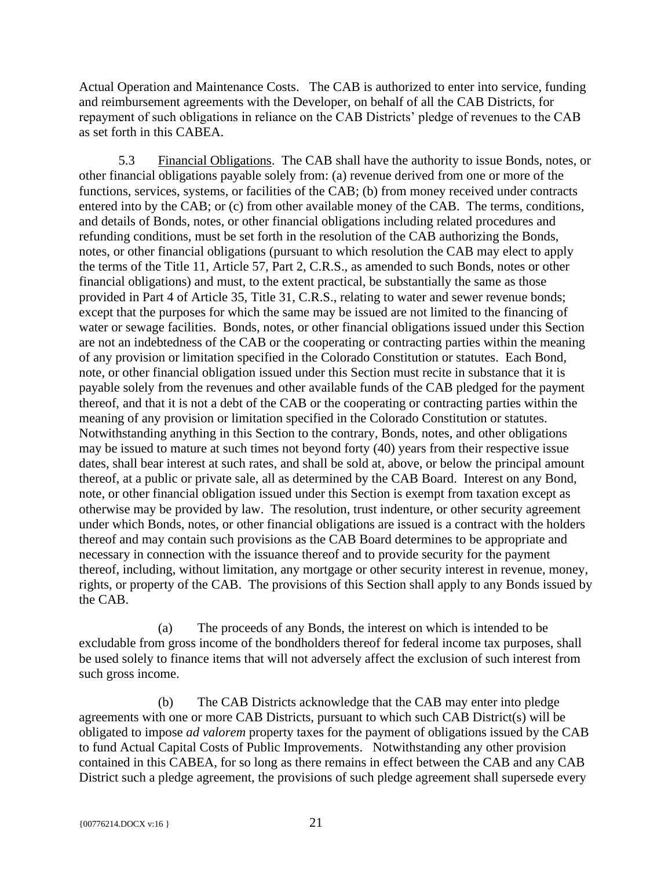Actual Operation and Maintenance Costs. The CAB is authorized to enter into service, funding and reimbursement agreements with the Developer, on behalf of all the CAB Districts, for repayment of such obligations in reliance on the CAB Districts' pledge of revenues to the CAB as set forth in this CABEA.

<span id="page-25-0"></span>5.3 Financial Obligations. The CAB shall have the authority to issue Bonds, notes, or other financial obligations payable solely from: (a) revenue derived from one or more of the functions, services, systems, or facilities of the CAB; (b) from money received under contracts entered into by the CAB; or (c) from other available money of the CAB. The terms, conditions, and details of Bonds, notes, or other financial obligations including related procedures and refunding conditions, must be set forth in the resolution of the CAB authorizing the Bonds, notes, or other financial obligations (pursuant to which resolution the CAB may elect to apply the terms of the Title 11, Article 57, Part 2, C.R.S., as amended to such Bonds, notes or other financial obligations) and must, to the extent practical, be substantially the same as those provided in Part 4 of Article 35, Title 31, C.R.S., relating to water and sewer revenue bonds; except that the purposes for which the same may be issued are not limited to the financing of water or sewage facilities. Bonds, notes, or other financial obligations issued under this Section are not an indebtedness of the CAB or the cooperating or contracting parties within the meaning of any provision or limitation specified in the Colorado Constitution or statutes. Each Bond, note, or other financial obligation issued under this Section must recite in substance that it is payable solely from the revenues and other available funds of the CAB pledged for the payment thereof, and that it is not a debt of the CAB or the cooperating or contracting parties within the meaning of any provision or limitation specified in the Colorado Constitution or statutes. Notwithstanding anything in this Section to the contrary, Bonds, notes, and other obligations may be issued to mature at such times not beyond forty (40) years from their respective issue dates, shall bear interest at such rates, and shall be sold at, above, or below the principal amount thereof, at a public or private sale, all as determined by the CAB Board. Interest on any Bond, note, or other financial obligation issued under this Section is exempt from taxation except as otherwise may be provided by law. The resolution, trust indenture, or other security agreement under which Bonds, notes, or other financial obligations are issued is a contract with the holders thereof and may contain such provisions as the CAB Board determines to be appropriate and necessary in connection with the issuance thereof and to provide security for the payment thereof, including, without limitation, any mortgage or other security interest in revenue, money, rights, or property of the CAB. The provisions of this Section shall apply to any Bonds issued by the CAB.

(a) The proceeds of any Bonds, the interest on which is intended to be excludable from gross income of the bondholders thereof for federal income tax purposes, shall be used solely to finance items that will not adversely affect the exclusion of such interest from such gross income.

(b) The CAB Districts acknowledge that the CAB may enter into pledge agreements with one or more CAB Districts, pursuant to which such CAB District(s) will be obligated to impose *ad valorem* property taxes for the payment of obligations issued by the CAB to fund Actual Capital Costs of Public Improvements. Notwithstanding any other provision contained in this CABEA, for so long as there remains in effect between the CAB and any CAB District such a pledge agreement, the provisions of such pledge agreement shall supersede every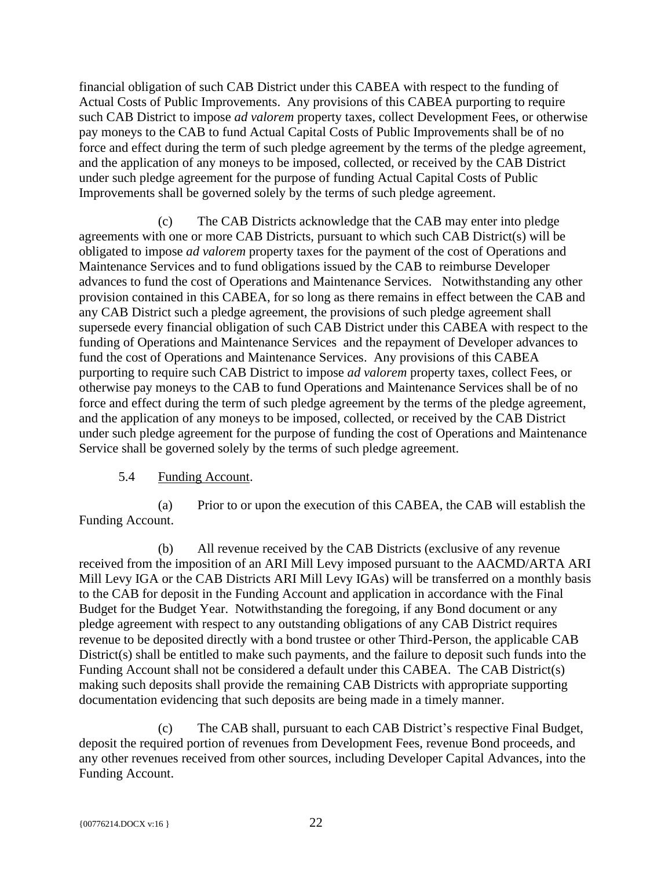financial obligation of such CAB District under this CABEA with respect to the funding of Actual Costs of Public Improvements. Any provisions of this CABEA purporting to require such CAB District to impose *ad valorem* property taxes, collect Development Fees, or otherwise pay moneys to the CAB to fund Actual Capital Costs of Public Improvements shall be of no force and effect during the term of such pledge agreement by the terms of the pledge agreement, and the application of any moneys to be imposed, collected, or received by the CAB District under such pledge agreement for the purpose of funding Actual Capital Costs of Public Improvements shall be governed solely by the terms of such pledge agreement.

(c) The CAB Districts acknowledge that the CAB may enter into pledge agreements with one or more CAB Districts, pursuant to which such CAB District(s) will be obligated to impose *ad valorem* property taxes for the payment of the cost of Operations and Maintenance Services and to fund obligations issued by the CAB to reimburse Developer advances to fund the cost of Operations and Maintenance Services. Notwithstanding any other provision contained in this CABEA, for so long as there remains in effect between the CAB and any CAB District such a pledge agreement, the provisions of such pledge agreement shall supersede every financial obligation of such CAB District under this CABEA with respect to the funding of Operations and Maintenance Services and the repayment of Developer advances to fund the cost of Operations and Maintenance Services. Any provisions of this CABEA purporting to require such CAB District to impose *ad valorem* property taxes, collect Fees, or otherwise pay moneys to the CAB to fund Operations and Maintenance Services shall be of no force and effect during the term of such pledge agreement by the terms of the pledge agreement, and the application of any moneys to be imposed, collected, or received by the CAB District under such pledge agreement for the purpose of funding the cost of Operations and Maintenance Service shall be governed solely by the terms of such pledge agreement.

# 5.4 Funding Account.

<span id="page-26-0"></span>(a) Prior to or upon the execution of this CABEA, the CAB will establish the Funding Account.

(b) All revenue received by the CAB Districts (exclusive of any revenue received from the imposition of an ARI Mill Levy imposed pursuant to the AACMD/ARTA ARI Mill Levy IGA or the CAB Districts ARI Mill Levy IGAs) will be transferred on a monthly basis to the CAB for deposit in the Funding Account and application in accordance with the Final Budget for the Budget Year. Notwithstanding the foregoing, if any Bond document or any pledge agreement with respect to any outstanding obligations of any CAB District requires revenue to be deposited directly with a bond trustee or other Third-Person, the applicable CAB District(s) shall be entitled to make such payments, and the failure to deposit such funds into the Funding Account shall not be considered a default under this CABEA. The CAB District(s) making such deposits shall provide the remaining CAB Districts with appropriate supporting documentation evidencing that such deposits are being made in a timely manner.

(c) The CAB shall, pursuant to each CAB District's respective Final Budget, deposit the required portion of revenues from Development Fees, revenue Bond proceeds, and any other revenues received from other sources, including Developer Capital Advances, into the Funding Account.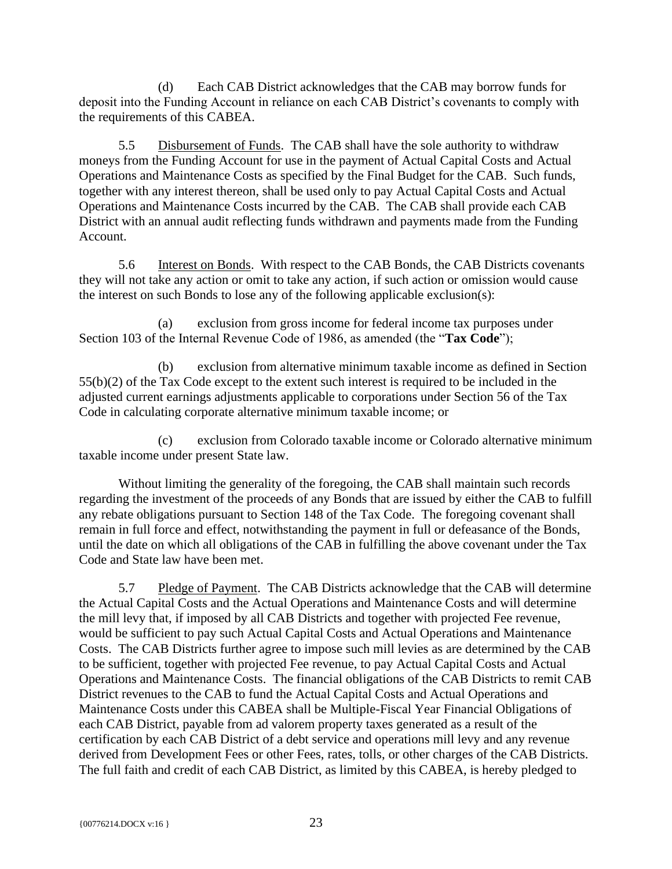(d) Each CAB District acknowledges that the CAB may borrow funds for deposit into the Funding Account in reliance on each CAB District's covenants to comply with the requirements of this CABEA.

<span id="page-27-0"></span>5.5 Disbursement of Funds. The CAB shall have the sole authority to withdraw moneys from the Funding Account for use in the payment of Actual Capital Costs and Actual Operations and Maintenance Costs as specified by the Final Budget for the CAB. Such funds, together with any interest thereon, shall be used only to pay Actual Capital Costs and Actual Operations and Maintenance Costs incurred by the CAB. The CAB shall provide each CAB District with an annual audit reflecting funds withdrawn and payments made from the Funding Account.

<span id="page-27-1"></span>5.6 Interest on Bonds. With respect to the CAB Bonds, the CAB Districts covenants they will not take any action or omit to take any action, if such action or omission would cause the interest on such Bonds to lose any of the following applicable exclusion(s):

(a) exclusion from gross income for federal income tax purposes under Section 103 of the Internal Revenue Code of 1986, as amended (the "**Tax Code**");

(b) exclusion from alternative minimum taxable income as defined in Section 55(b)(2) of the Tax Code except to the extent such interest is required to be included in the adjusted current earnings adjustments applicable to corporations under Section 56 of the Tax Code in calculating corporate alternative minimum taxable income; or

(c) exclusion from Colorado taxable income or Colorado alternative minimum taxable income under present State law.

Without limiting the generality of the foregoing, the CAB shall maintain such records regarding the investment of the proceeds of any Bonds that are issued by either the CAB to fulfill any rebate obligations pursuant to Section 148 of the Tax Code. The foregoing covenant shall remain in full force and effect, notwithstanding the payment in full or defeasance of the Bonds, until the date on which all obligations of the CAB in fulfilling the above covenant under the Tax Code and State law have been met.

<span id="page-27-2"></span>5.7 Pledge of Payment. The CAB Districts acknowledge that the CAB will determine the Actual Capital Costs and the Actual Operations and Maintenance Costs and will determine the mill levy that, if imposed by all CAB Districts and together with projected Fee revenue, would be sufficient to pay such Actual Capital Costs and Actual Operations and Maintenance Costs. The CAB Districts further agree to impose such mill levies as are determined by the CAB to be sufficient, together with projected Fee revenue, to pay Actual Capital Costs and Actual Operations and Maintenance Costs. The financial obligations of the CAB Districts to remit CAB District revenues to the CAB to fund the Actual Capital Costs and Actual Operations and Maintenance Costs under this CABEA shall be Multiple-Fiscal Year Financial Obligations of each CAB District, payable from ad valorem property taxes generated as a result of the certification by each CAB District of a debt service and operations mill levy and any revenue derived from Development Fees or other Fees, rates, tolls, or other charges of the CAB Districts. The full faith and credit of each CAB District, as limited by this CABEA, is hereby pledged to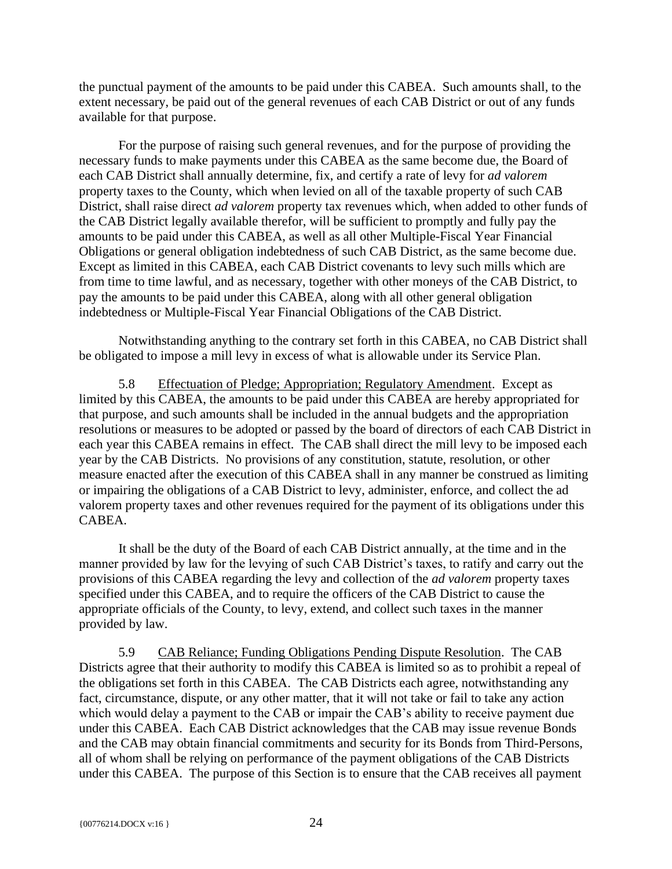the punctual payment of the amounts to be paid under this CABEA. Such amounts shall, to the extent necessary, be paid out of the general revenues of each CAB District or out of any funds available for that purpose.

For the purpose of raising such general revenues, and for the purpose of providing the necessary funds to make payments under this CABEA as the same become due, the Board of each CAB District shall annually determine, fix, and certify a rate of levy for *ad valorem* property taxes to the County, which when levied on all of the taxable property of such CAB District, shall raise direct *ad valorem* property tax revenues which, when added to other funds of the CAB District legally available therefor, will be sufficient to promptly and fully pay the amounts to be paid under this CABEA, as well as all other Multiple-Fiscal Year Financial Obligations or general obligation indebtedness of such CAB District, as the same become due. Except as limited in this CABEA, each CAB District covenants to levy such mills which are from time to time lawful, and as necessary, together with other moneys of the CAB District, to pay the amounts to be paid under this CABEA, along with all other general obligation indebtedness or Multiple-Fiscal Year Financial Obligations of the CAB District.

Notwithstanding anything to the contrary set forth in this CABEA, no CAB District shall be obligated to impose a mill levy in excess of what is allowable under its Service Plan.

<span id="page-28-0"></span>5.8 Effectuation of Pledge; Appropriation; Regulatory Amendment. Except as limited by this CABEA, the amounts to be paid under this CABEA are hereby appropriated for that purpose, and such amounts shall be included in the annual budgets and the appropriation resolutions or measures to be adopted or passed by the board of directors of each CAB District in each year this CABEA remains in effect. The CAB shall direct the mill levy to be imposed each year by the CAB Districts. No provisions of any constitution, statute, resolution, or other measure enacted after the execution of this CABEA shall in any manner be construed as limiting or impairing the obligations of a CAB District to levy, administer, enforce, and collect the ad valorem property taxes and other revenues required for the payment of its obligations under this CABEA.

It shall be the duty of the Board of each CAB District annually, at the time and in the manner provided by law for the levying of such CAB District's taxes, to ratify and carry out the provisions of this CABEA regarding the levy and collection of the *ad valorem* property taxes specified under this CABEA, and to require the officers of the CAB District to cause the appropriate officials of the County, to levy, extend, and collect such taxes in the manner provided by law.

<span id="page-28-1"></span>5.9 CAB Reliance; Funding Obligations Pending Dispute Resolution. The CAB Districts agree that their authority to modify this CABEA is limited so as to prohibit a repeal of the obligations set forth in this CABEA. The CAB Districts each agree, notwithstanding any fact, circumstance, dispute, or any other matter, that it will not take or fail to take any action which would delay a payment to the CAB or impair the CAB's ability to receive payment due under this CABEA. Each CAB District acknowledges that the CAB may issue revenue Bonds and the CAB may obtain financial commitments and security for its Bonds from Third-Persons, all of whom shall be relying on performance of the payment obligations of the CAB Districts under this CABEA. The purpose of this Section is to ensure that the CAB receives all payment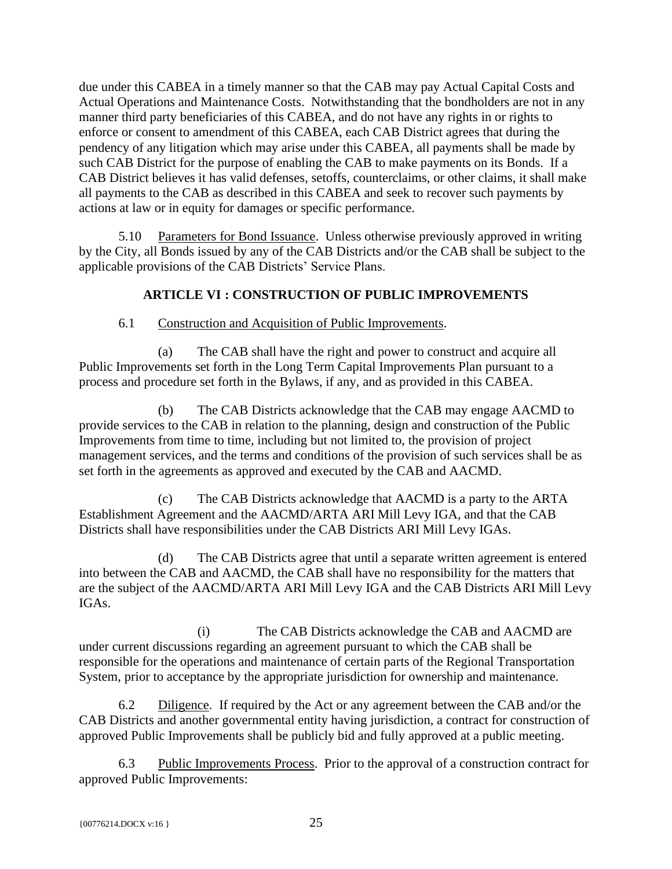due under this CABEA in a timely manner so that the CAB may pay Actual Capital Costs and Actual Operations and Maintenance Costs. Notwithstanding that the bondholders are not in any manner third party beneficiaries of this CABEA, and do not have any rights in or rights to enforce or consent to amendment of this CABEA, each CAB District agrees that during the pendency of any litigation which may arise under this CABEA, all payments shall be made by such CAB District for the purpose of enabling the CAB to make payments on its Bonds. If a CAB District believes it has valid defenses, setoffs, counterclaims, or other claims, it shall make all payments to the CAB as described in this CABEA and seek to recover such payments by actions at law or in equity for damages or specific performance.

<span id="page-29-0"></span>5.10 Parameters for Bond Issuance. Unless otherwise previously approved in writing by the City, all Bonds issued by any of the CAB Districts and/or the CAB shall be subject to the applicable provisions of the CAB Districts' Service Plans.

# **ARTICLE VI : CONSTRUCTION OF PUBLIC IMPROVEMENTS**

#### <span id="page-29-1"></span>6.1 Construction and Acquisition of Public Improvements.

<span id="page-29-2"></span>(a) The CAB shall have the right and power to construct and acquire all Public Improvements set forth in the Long Term Capital Improvements Plan pursuant to a process and procedure set forth in the Bylaws, if any, and as provided in this CABEA.

(b) The CAB Districts acknowledge that the CAB may engage AACMD to provide services to the CAB in relation to the planning, design and construction of the Public Improvements from time to time, including but not limited to, the provision of project management services, and the terms and conditions of the provision of such services shall be as set forth in the agreements as approved and executed by the CAB and AACMD.

(c) The CAB Districts acknowledge that AACMD is a party to the ARTA Establishment Agreement and the AACMD/ARTA ARI Mill Levy IGA, and that the CAB Districts shall have responsibilities under the CAB Districts ARI Mill Levy IGAs.

(d) The CAB Districts agree that until a separate written agreement is entered into between the CAB and AACMD, the CAB shall have no responsibility for the matters that are the subject of the AACMD/ARTA ARI Mill Levy IGA and the CAB Districts ARI Mill Levy IGAs.

(i) The CAB Districts acknowledge the CAB and AACMD are under current discussions regarding an agreement pursuant to which the CAB shall be responsible for the operations and maintenance of certain parts of the Regional Transportation System, prior to acceptance by the appropriate jurisdiction for ownership and maintenance.

<span id="page-29-3"></span>6.2 Diligence. If required by the Act or any agreement between the CAB and/or the CAB Districts and another governmental entity having jurisdiction, a contract for construction of approved Public Improvements shall be publicly bid and fully approved at a public meeting.

<span id="page-29-4"></span>6.3 Public Improvements Process. Prior to the approval of a construction contract for approved Public Improvements: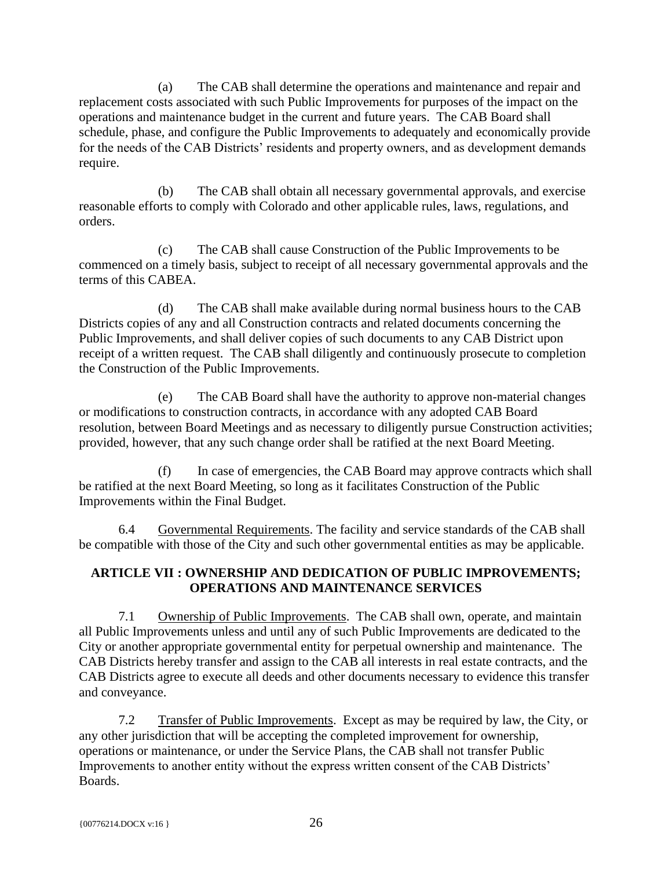(a) The CAB shall determine the operations and maintenance and repair and replacement costs associated with such Public Improvements for purposes of the impact on the operations and maintenance budget in the current and future years. The CAB Board shall schedule, phase, and configure the Public Improvements to adequately and economically provide for the needs of the CAB Districts' residents and property owners, and as development demands require.

(b) The CAB shall obtain all necessary governmental approvals, and exercise reasonable efforts to comply with Colorado and other applicable rules, laws, regulations, and orders.

(c) The CAB shall cause Construction of the Public Improvements to be commenced on a timely basis, subject to receipt of all necessary governmental approvals and the terms of this CABEA.

(d) The CAB shall make available during normal business hours to the CAB Districts copies of any and all Construction contracts and related documents concerning the Public Improvements, and shall deliver copies of such documents to any CAB District upon receipt of a written request. The CAB shall diligently and continuously prosecute to completion the Construction of the Public Improvements.

(e) The CAB Board shall have the authority to approve non-material changes or modifications to construction contracts, in accordance with any adopted CAB Board resolution, between Board Meetings and as necessary to diligently pursue Construction activities; provided, however, that any such change order shall be ratified at the next Board Meeting.

(f) In case of emergencies, the CAB Board may approve contracts which shall be ratified at the next Board Meeting, so long as it facilitates Construction of the Public Improvements within the Final Budget.

<span id="page-30-0"></span>6.4 Governmental Requirements. The facility and service standards of the CAB shall be compatible with those of the City and such other governmental entities as may be applicable.

# <span id="page-30-1"></span>**ARTICLE VII : OWNERSHIP AND DEDICATION OF PUBLIC IMPROVEMENTS; OPERATIONS AND MAINTENANCE SERVICES**

<span id="page-30-2"></span>7.1 Ownership of Public Improvements. The CAB shall own, operate, and maintain all Public Improvements unless and until any of such Public Improvements are dedicated to the City or another appropriate governmental entity for perpetual ownership and maintenance. The CAB Districts hereby transfer and assign to the CAB all interests in real estate contracts, and the CAB Districts agree to execute all deeds and other documents necessary to evidence this transfer and conveyance.

<span id="page-30-3"></span>7.2 Transfer of Public Improvements. Except as may be required by law, the City, or any other jurisdiction that will be accepting the completed improvement for ownership, operations or maintenance, or under the Service Plans, the CAB shall not transfer Public Improvements to another entity without the express written consent of the CAB Districts' Boards.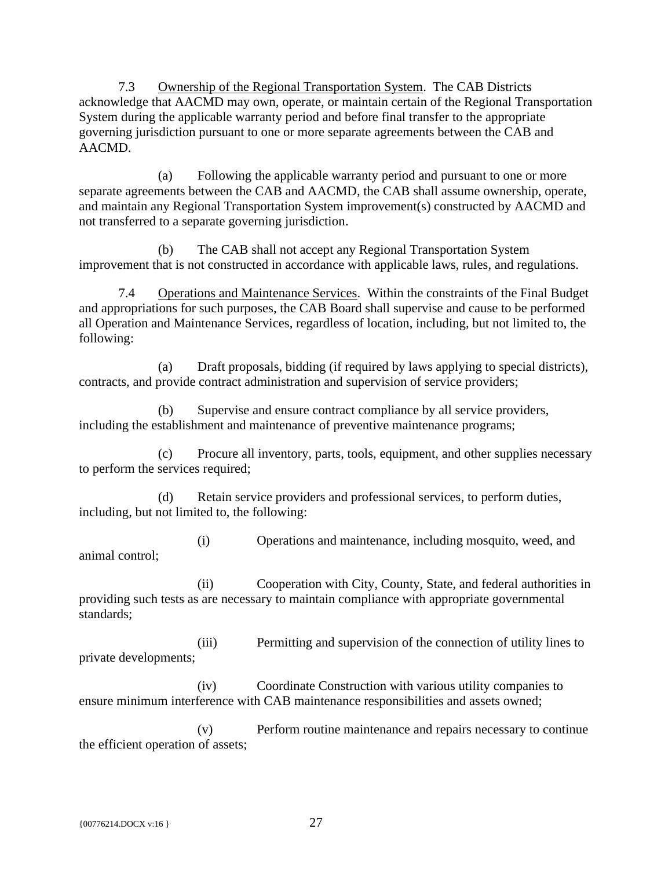<span id="page-31-0"></span>7.3 Ownership of the Regional Transportation System. The CAB Districts acknowledge that AACMD may own, operate, or maintain certain of the Regional Transportation System during the applicable warranty period and before final transfer to the appropriate governing jurisdiction pursuant to one or more separate agreements between the CAB and AACMD.

(a) Following the applicable warranty period and pursuant to one or more separate agreements between the CAB and AACMD, the CAB shall assume ownership, operate, and maintain any Regional Transportation System improvement(s) constructed by AACMD and not transferred to a separate governing jurisdiction.

(b) The CAB shall not accept any Regional Transportation System improvement that is not constructed in accordance with applicable laws, rules, and regulations.

<span id="page-31-1"></span>7.4 Operations and Maintenance Services. Within the constraints of the Final Budget and appropriations for such purposes, the CAB Board shall supervise and cause to be performed all Operation and Maintenance Services, regardless of location, including, but not limited to, the following:

(a) Draft proposals, bidding (if required by laws applying to special districts), contracts, and provide contract administration and supervision of service providers;

(b) Supervise and ensure contract compliance by all service providers, including the establishment and maintenance of preventive maintenance programs;

(c) Procure all inventory, parts, tools, equipment, and other supplies necessary to perform the services required;

(d) Retain service providers and professional services, to perform duties, including, but not limited to, the following:

(i) Operations and maintenance, including mosquito, weed, and animal control;

(ii) Cooperation with City, County, State, and federal authorities in providing such tests as are necessary to maintain compliance with appropriate governmental standards;

(iii) Permitting and supervision of the connection of utility lines to private developments;

(iv) Coordinate Construction with various utility companies to ensure minimum interference with CAB maintenance responsibilities and assets owned;

(v) Perform routine maintenance and repairs necessary to continue the efficient operation of assets;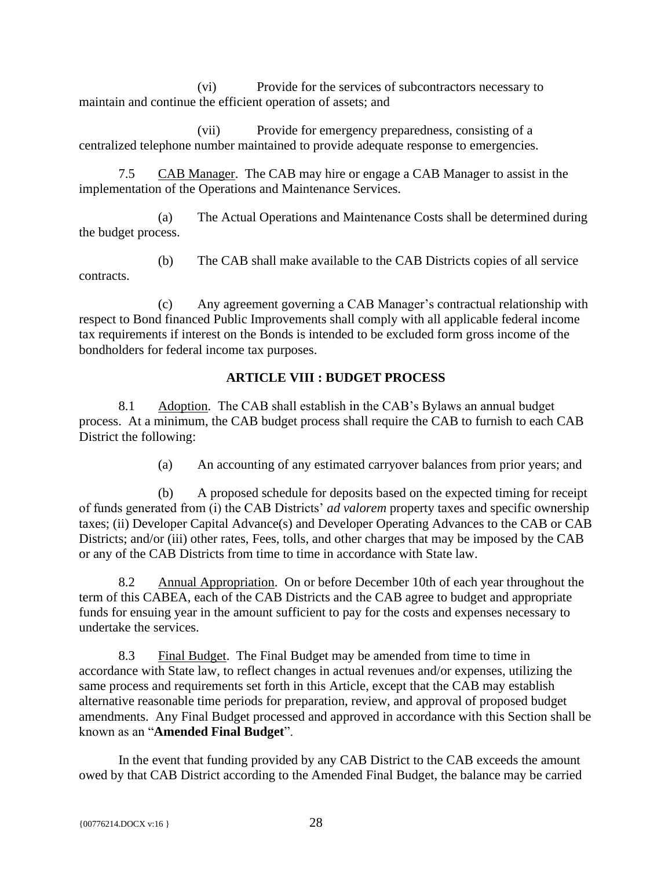(vi) Provide for the services of subcontractors necessary to maintain and continue the efficient operation of assets; and

(vii) Provide for emergency preparedness, consisting of a centralized telephone number maintained to provide adequate response to emergencies.

<span id="page-32-0"></span>7.5 CAB Manager. The CAB may hire or engage a CAB Manager to assist in the implementation of the Operations and Maintenance Services.

(a) The Actual Operations and Maintenance Costs shall be determined during the budget process.

(b) The CAB shall make available to the CAB Districts copies of all service contracts.

(c) Any agreement governing a CAB Manager's contractual relationship with respect to Bond financed Public Improvements shall comply with all applicable federal income tax requirements if interest on the Bonds is intended to be excluded form gross income of the bondholders for federal income tax purposes.

# **ARTICLE VIII : BUDGET PROCESS**

<span id="page-32-2"></span><span id="page-32-1"></span>8.1 Adoption. The CAB shall establish in the CAB's Bylaws an annual budget process. At a minimum, the CAB budget process shall require the CAB to furnish to each CAB District the following:

(a) An accounting of any estimated carryover balances from prior years; and

(b) A proposed schedule for deposits based on the expected timing for receipt of funds generated from (i) the CAB Districts' *ad valorem* property taxes and specific ownership taxes; (ii) Developer Capital Advance(s) and Developer Operating Advances to the CAB or CAB Districts; and/or (iii) other rates, Fees, tolls, and other charges that may be imposed by the CAB or any of the CAB Districts from time to time in accordance with State law.

<span id="page-32-3"></span>8.2 Annual Appropriation. On or before December 10th of each year throughout the term of this CABEA, each of the CAB Districts and the CAB agree to budget and appropriate funds for ensuing year in the amount sufficient to pay for the costs and expenses necessary to undertake the services.

<span id="page-32-4"></span>8.3 Final Budget. The Final Budget may be amended from time to time in accordance with State law, to reflect changes in actual revenues and/or expenses, utilizing the same process and requirements set forth in this Article, except that the CAB may establish alternative reasonable time periods for preparation, review, and approval of proposed budget amendments. Any Final Budget processed and approved in accordance with this Section shall be known as an "**Amended Final Budget**".

In the event that funding provided by any CAB District to the CAB exceeds the amount owed by that CAB District according to the Amended Final Budget, the balance may be carried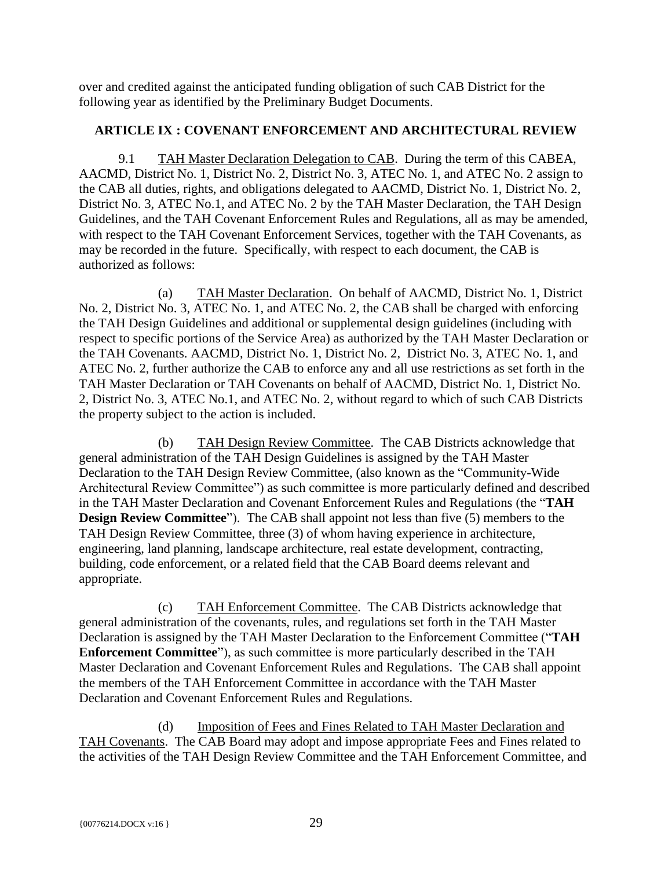over and credited against the anticipated funding obligation of such CAB District for the following year as identified by the Preliminary Budget Documents.

#### <span id="page-33-0"></span>**ARTICLE IX : COVENANT ENFORCEMENT AND ARCHITECTURAL REVIEW**

<span id="page-33-1"></span>9.1 TAH Master Declaration Delegation to CAB. During the term of this CABEA, AACMD, District No. 1, District No. 2, District No. 3, ATEC No. 1, and ATEC No. 2 assign to the CAB all duties, rights, and obligations delegated to AACMD, District No. 1, District No. 2, District No. 3, ATEC No.1, and ATEC No. 2 by the TAH Master Declaration, the TAH Design Guidelines, and the TAH Covenant Enforcement Rules and Regulations, all as may be amended, with respect to the TAH Covenant Enforcement Services, together with the TAH Covenants, as may be recorded in the future. Specifically, with respect to each document, the CAB is authorized as follows:

(a) TAH Master Declaration. On behalf of AACMD, District No. 1, District No. 2, District No. 3, ATEC No. 1, and ATEC No. 2, the CAB shall be charged with enforcing the TAH Design Guidelines and additional or supplemental design guidelines (including with respect to specific portions of the Service Area) as authorized by the TAH Master Declaration or the TAH Covenants. AACMD, District No. 1, District No. 2, District No. 3, ATEC No. 1, and ATEC No. 2, further authorize the CAB to enforce any and all use restrictions as set forth in the TAH Master Declaration or TAH Covenants on behalf of AACMD, District No. 1, District No. 2, District No. 3, ATEC No.1, and ATEC No. 2, without regard to which of such CAB Districts the property subject to the action is included.

(b) TAH Design Review Committee. The CAB Districts acknowledge that general administration of the TAH Design Guidelines is assigned by the TAH Master Declaration to the TAH Design Review Committee, (also known as the "Community-Wide Architectural Review Committee") as such committee is more particularly defined and described in the TAH Master Declaration and Covenant Enforcement Rules and Regulations (the "**TAH Design Review Committee**"). The CAB shall appoint not less than five (5) members to the TAH Design Review Committee, three (3) of whom having experience in architecture, engineering, land planning, landscape architecture, real estate development, contracting, building, code enforcement, or a related field that the CAB Board deems relevant and appropriate.

(c) TAH Enforcement Committee. The CAB Districts acknowledge that general administration of the covenants, rules, and regulations set forth in the TAH Master Declaration is assigned by the TAH Master Declaration to the Enforcement Committee ("**TAH Enforcement Committee**"), as such committee is more particularly described in the TAH Master Declaration and Covenant Enforcement Rules and Regulations. The CAB shall appoint the members of the TAH Enforcement Committee in accordance with the TAH Master Declaration and Covenant Enforcement Rules and Regulations.

(d) Imposition of Fees and Fines Related to TAH Master Declaration and TAH Covenants. The CAB Board may adopt and impose appropriate Fees and Fines related to the activities of the TAH Design Review Committee and the TAH Enforcement Committee, and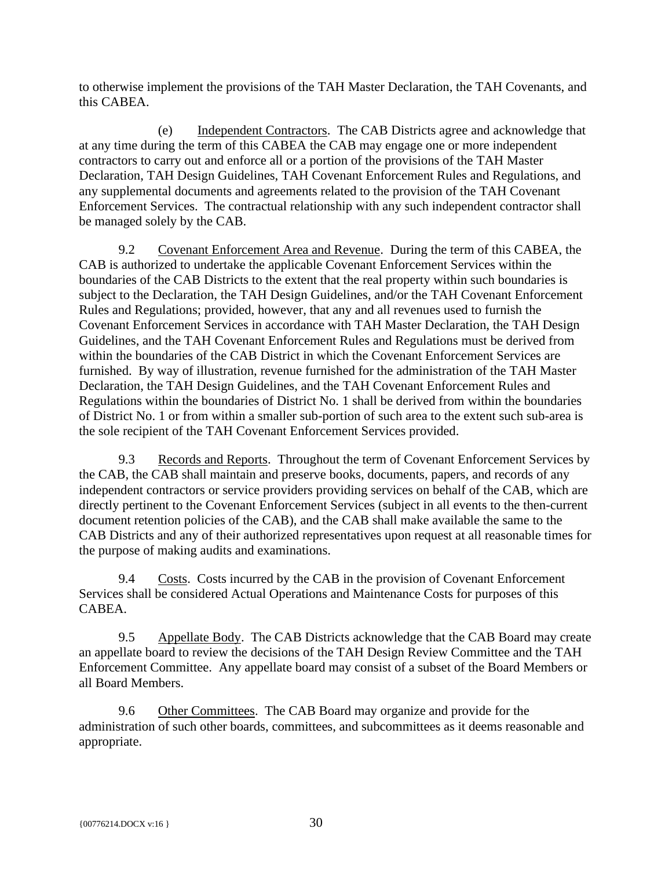to otherwise implement the provisions of the TAH Master Declaration, the TAH Covenants, and this CABEA.

(e) Independent Contractors. The CAB Districts agree and acknowledge that at any time during the term of this CABEA the CAB may engage one or more independent contractors to carry out and enforce all or a portion of the provisions of the TAH Master Declaration, TAH Design Guidelines, TAH Covenant Enforcement Rules and Regulations, and any supplemental documents and agreements related to the provision of the TAH Covenant Enforcement Services. The contractual relationship with any such independent contractor shall be managed solely by the CAB.

<span id="page-34-0"></span>9.2 Covenant Enforcement Area and Revenue. During the term of this CABEA, the CAB is authorized to undertake the applicable Covenant Enforcement Services within the boundaries of the CAB Districts to the extent that the real property within such boundaries is subject to the Declaration, the TAH Design Guidelines, and/or the TAH Covenant Enforcement Rules and Regulations; provided, however, that any and all revenues used to furnish the Covenant Enforcement Services in accordance with TAH Master Declaration, the TAH Design Guidelines, and the TAH Covenant Enforcement Rules and Regulations must be derived from within the boundaries of the CAB District in which the Covenant Enforcement Services are furnished. By way of illustration, revenue furnished for the administration of the TAH Master Declaration, the TAH Design Guidelines, and the TAH Covenant Enforcement Rules and Regulations within the boundaries of District No. 1 shall be derived from within the boundaries of District No. 1 or from within a smaller sub-portion of such area to the extent such sub-area is the sole recipient of the TAH Covenant Enforcement Services provided.

<span id="page-34-1"></span>9.3 Records and Reports. Throughout the term of Covenant Enforcement Services by the CAB, the CAB shall maintain and preserve books, documents, papers, and records of any independent contractors or service providers providing services on behalf of the CAB, which are directly pertinent to the Covenant Enforcement Services (subject in all events to the then-current document retention policies of the CAB), and the CAB shall make available the same to the CAB Districts and any of their authorized representatives upon request at all reasonable times for the purpose of making audits and examinations.

<span id="page-34-2"></span>9.4 Costs. Costs incurred by the CAB in the provision of Covenant Enforcement Services shall be considered Actual Operations and Maintenance Costs for purposes of this CABEA.

<span id="page-34-3"></span>9.5 Appellate Body. The CAB Districts acknowledge that the CAB Board may create an appellate board to review the decisions of the TAH Design Review Committee and the TAH Enforcement Committee. Any appellate board may consist of a subset of the Board Members or all Board Members.

<span id="page-34-4"></span>9.6 Other Committees. The CAB Board may organize and provide for the administration of such other boards, committees, and subcommittees as it deems reasonable and appropriate.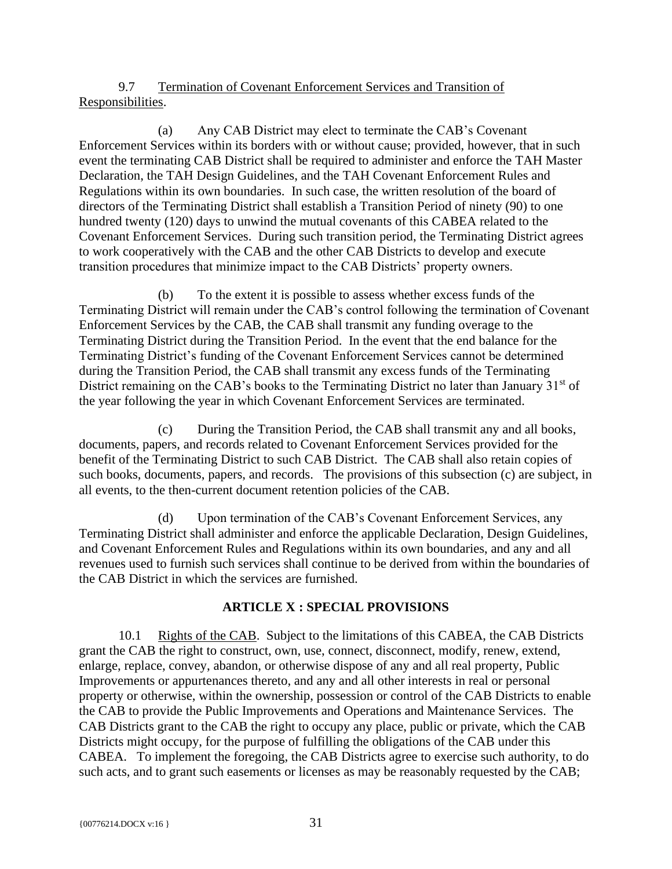<span id="page-35-0"></span>9.7 Termination of Covenant Enforcement Services and Transition of Responsibilities.

(a) Any CAB District may elect to terminate the CAB's Covenant Enforcement Services within its borders with or without cause; provided, however, that in such event the terminating CAB District shall be required to administer and enforce the TAH Master Declaration, the TAH Design Guidelines, and the TAH Covenant Enforcement Rules and Regulations within its own boundaries. In such case, the written resolution of the board of directors of the Terminating District shall establish a Transition Period of ninety (90) to one hundred twenty (120) days to unwind the mutual covenants of this CABEA related to the Covenant Enforcement Services. During such transition period, the Terminating District agrees to work cooperatively with the CAB and the other CAB Districts to develop and execute transition procedures that minimize impact to the CAB Districts' property owners.

(b) To the extent it is possible to assess whether excess funds of the Terminating District will remain under the CAB's control following the termination of Covenant Enforcement Services by the CAB, the CAB shall transmit any funding overage to the Terminating District during the Transition Period. In the event that the end balance for the Terminating District's funding of the Covenant Enforcement Services cannot be determined during the Transition Period, the CAB shall transmit any excess funds of the Terminating District remaining on the CAB's books to the Terminating District no later than January 31<sup>st</sup> of the year following the year in which Covenant Enforcement Services are terminated.

(c) During the Transition Period, the CAB shall transmit any and all books, documents, papers, and records related to Covenant Enforcement Services provided for the benefit of the Terminating District to such CAB District. The CAB shall also retain copies of such books, documents, papers, and records. The provisions of this subsection (c) are subject, in all events, to the then-current document retention policies of the CAB.

(d) Upon termination of the CAB's Covenant Enforcement Services, any Terminating District shall administer and enforce the applicable Declaration, Design Guidelines, and Covenant Enforcement Rules and Regulations within its own boundaries, and any and all revenues used to furnish such services shall continue to be derived from within the boundaries of the CAB District in which the services are furnished.

# **ARTICLE X : SPECIAL PROVISIONS**

<span id="page-35-2"></span><span id="page-35-1"></span>10.1 Rights of the CAB. Subject to the limitations of this CABEA, the CAB Districts grant the CAB the right to construct, own, use, connect, disconnect, modify, renew, extend, enlarge, replace, convey, abandon, or otherwise dispose of any and all real property, Public Improvements or appurtenances thereto, and any and all other interests in real or personal property or otherwise, within the ownership, possession or control of the CAB Districts to enable the CAB to provide the Public Improvements and Operations and Maintenance Services. The CAB Districts grant to the CAB the right to occupy any place, public or private, which the CAB Districts might occupy, for the purpose of fulfilling the obligations of the CAB under this CABEA. To implement the foregoing, the CAB Districts agree to exercise such authority, to do such acts, and to grant such easements or licenses as may be reasonably requested by the CAB;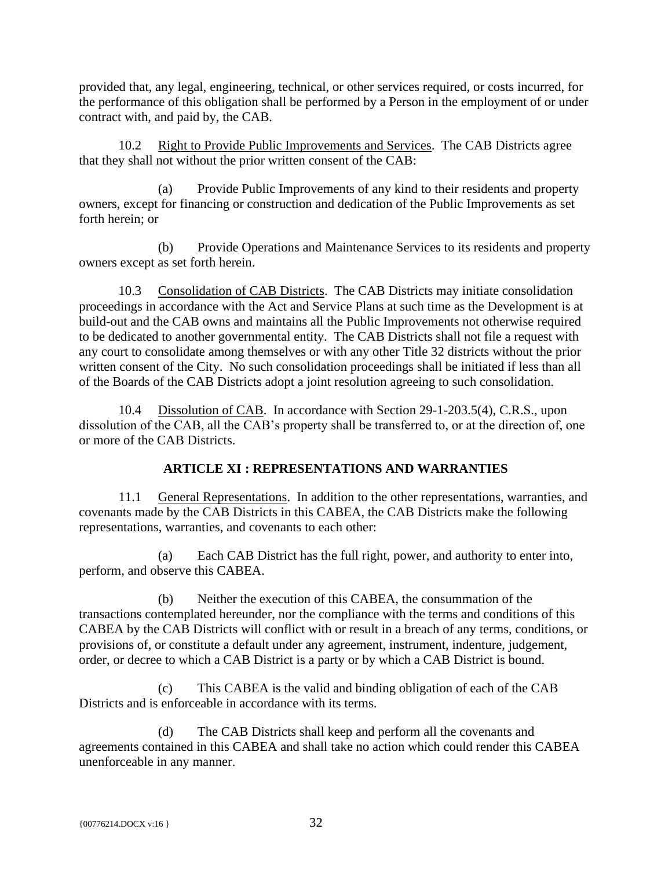provided that, any legal, engineering, technical, or other services required, or costs incurred, for the performance of this obligation shall be performed by a Person in the employment of or under contract with, and paid by, the CAB.

<span id="page-36-0"></span>10.2 Right to Provide Public Improvements and Services. The CAB Districts agree that they shall not without the prior written consent of the CAB:

(a) Provide Public Improvements of any kind to their residents and property owners, except for financing or construction and dedication of the Public Improvements as set forth herein; or

(b) Provide Operations and Maintenance Services to its residents and property owners except as set forth herein.

<span id="page-36-1"></span>10.3 Consolidation of CAB Districts. The CAB Districts may initiate consolidation proceedings in accordance with the Act and Service Plans at such time as the Development is at build-out and the CAB owns and maintains all the Public Improvements not otherwise required to be dedicated to another governmental entity. The CAB Districts shall not file a request with any court to consolidate among themselves or with any other Title 32 districts without the prior written consent of the City. No such consolidation proceedings shall be initiated if less than all of the Boards of the CAB Districts adopt a joint resolution agreeing to such consolidation.

<span id="page-36-2"></span>10.4 Dissolution of CAB. In accordance with Section 29-1-203.5(4), C.R.S., upon dissolution of the CAB, all the CAB's property shall be transferred to, or at the direction of, one or more of the CAB Districts.

# **ARTICLE XI : REPRESENTATIONS AND WARRANTIES**

<span id="page-36-4"></span><span id="page-36-3"></span>11.1 General Representations. In addition to the other representations, warranties, and covenants made by the CAB Districts in this CABEA, the CAB Districts make the following representations, warranties, and covenants to each other:

(a) Each CAB District has the full right, power, and authority to enter into, perform, and observe this CABEA.

(b) Neither the execution of this CABEA, the consummation of the transactions contemplated hereunder, nor the compliance with the terms and conditions of this CABEA by the CAB Districts will conflict with or result in a breach of any terms, conditions, or provisions of, or constitute a default under any agreement, instrument, indenture, judgement, order, or decree to which a CAB District is a party or by which a CAB District is bound.

(c) This CABEA is the valid and binding obligation of each of the CAB Districts and is enforceable in accordance with its terms.

(d) The CAB Districts shall keep and perform all the covenants and agreements contained in this CABEA and shall take no action which could render this CABEA unenforceable in any manner.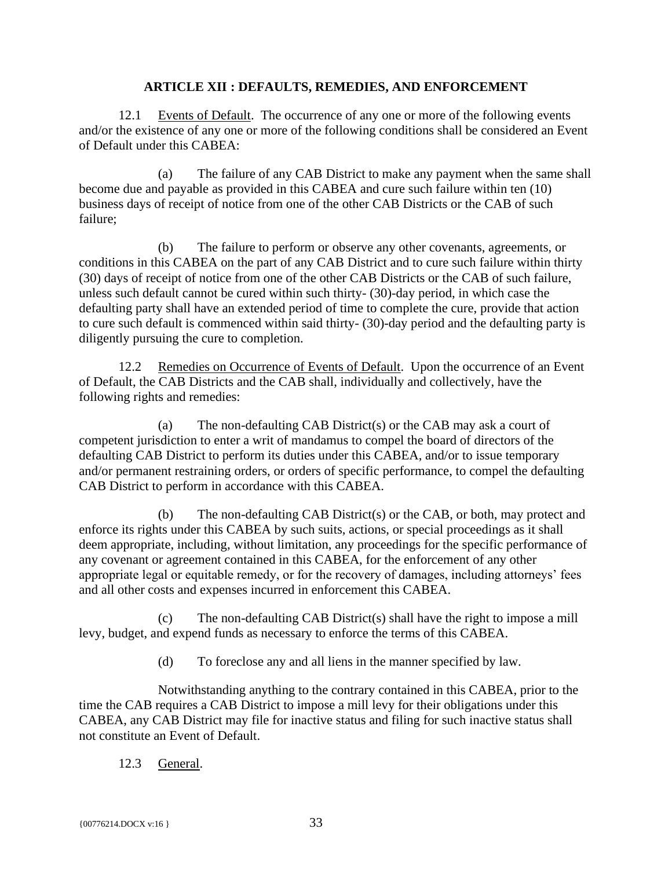#### **ARTICLE XII : DEFAULTS, REMEDIES, AND ENFORCEMENT**

<span id="page-37-1"></span><span id="page-37-0"></span>12.1 Events of Default. The occurrence of any one or more of the following events and/or the existence of any one or more of the following conditions shall be considered an Event of Default under this CABEA:

(a) The failure of any CAB District to make any payment when the same shall become due and payable as provided in this CABEA and cure such failure within ten (10) business days of receipt of notice from one of the other CAB Districts or the CAB of such failure;

(b) The failure to perform or observe any other covenants, agreements, or conditions in this CABEA on the part of any CAB District and to cure such failure within thirty (30) days of receipt of notice from one of the other CAB Districts or the CAB of such failure, unless such default cannot be cured within such thirty- (30)-day period, in which case the defaulting party shall have an extended period of time to complete the cure, provide that action to cure such default is commenced within said thirty- (30)-day period and the defaulting party is diligently pursuing the cure to completion.

<span id="page-37-2"></span>12.2 Remedies on Occurrence of Events of Default. Upon the occurrence of an Event of Default, the CAB Districts and the CAB shall, individually and collectively, have the following rights and remedies:

(a) The non-defaulting CAB District(s) or the CAB may ask a court of competent jurisdiction to enter a writ of mandamus to compel the board of directors of the defaulting CAB District to perform its duties under this CABEA, and/or to issue temporary and/or permanent restraining orders, or orders of specific performance, to compel the defaulting CAB District to perform in accordance with this CABEA.

(b) The non-defaulting CAB District(s) or the CAB, or both, may protect and enforce its rights under this CABEA by such suits, actions, or special proceedings as it shall deem appropriate, including, without limitation, any proceedings for the specific performance of any covenant or agreement contained in this CABEA, for the enforcement of any other appropriate legal or equitable remedy, or for the recovery of damages, including attorneys' fees and all other costs and expenses incurred in enforcement this CABEA.

(c) The non-defaulting CAB District(s) shall have the right to impose a mill levy, budget, and expend funds as necessary to enforce the terms of this CABEA.

(d) To foreclose any and all liens in the manner specified by law.

Notwithstanding anything to the contrary contained in this CABEA, prior to the time the CAB requires a CAB District to impose a mill levy for their obligations under this CABEA, any CAB District may file for inactive status and filing for such inactive status shall not constitute an Event of Default.

<span id="page-37-3"></span>12.3 General.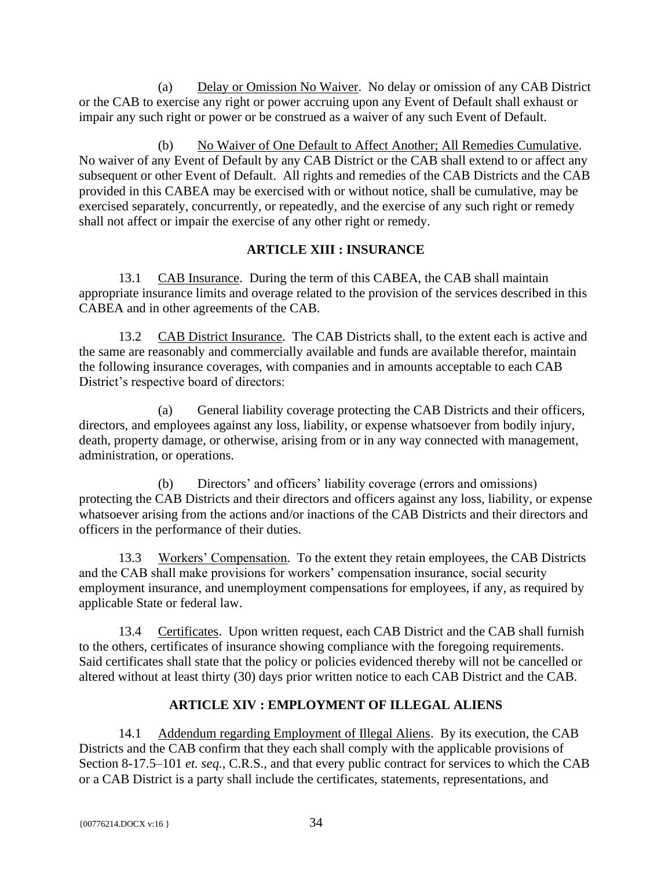(a) Delay or Omission No Waiver. No delay or omission of any CAB District or the CAB to exercise any right or power accruing upon any Event of Default shall exhaust or impair any such right or power or be construed as a waiver of any such Event of Default.

(b) No Waiver of One Default to Affect Another; All Remedies Cumulative. No waiver of any Event of Default by any CAB District or the CAB shall extend to or affect any subsequent or other Event of Default. All rights and remedies of the CAB Districts and the CAB provided in this CABEA may be exercised with or without notice, shall be cumulative, may be exercised separately, concurrently, or repeatedly, and the exercise of any such right or remedy shall not affect or impair the exercise of any other right or remedy.

# **ARTICLE XIII : INSURANCE**

<span id="page-38-1"></span><span id="page-38-0"></span>13.1 CAB Insurance. During the term of this CABEA, the CAB shall maintain appropriate insurance limits and overage related to the provision of the services described in this CABEA and in other agreements of the CAB.

<span id="page-38-2"></span>13.2 CAB District Insurance. The CAB Districts shall, to the extent each is active and the same are reasonably and commercially available and funds are available therefor, maintain the following insurance coverages, with companies and in amounts acceptable to each CAB District's respective board of directors:

(a) General liability coverage protecting the CAB Districts and their officers, directors, and employees against any loss, liability, or expense whatsoever from bodily injury, death, property damage, or otherwise, arising from or in any way connected with management, administration, or operations.

(b) Directors' and officers' liability coverage (errors and omissions) protecting the CAB Districts and their directors and officers against any loss, liability, or expense whatsoever arising from the actions and/or inactions of the CAB Districts and their directors and officers in the performance of their duties.

<span id="page-38-3"></span>13.3 Workers' Compensation. To the extent they retain employees, the CAB Districts and the CAB shall make provisions for workers' compensation insurance, social security employment insurance, and unemployment compensations for employees, if any, as required by applicable State or federal law.

<span id="page-38-4"></span>13.4 Certificates. Upon written request, each CAB District and the CAB shall furnish to the others, certificates of insurance showing compliance with the foregoing requirements. Said certificates shall state that the policy or policies evidenced thereby will not be cancelled or altered without at least thirty (30) days prior written notice to each CAB District and the CAB.

# **ARTICLE XIV : EMPLOYMENT OF ILLEGAL ALIENS**

<span id="page-38-6"></span><span id="page-38-5"></span>14.1 Addendum regarding Employment of Illegal Aliens. By its execution, the CAB Districts and the CAB confirm that they each shall comply with the applicable provisions of Section 8-17.5–101 *et. seq.*, C.R.S., and that every public contract for services to which the CAB or a CAB District is a party shall include the certificates, statements, representations, and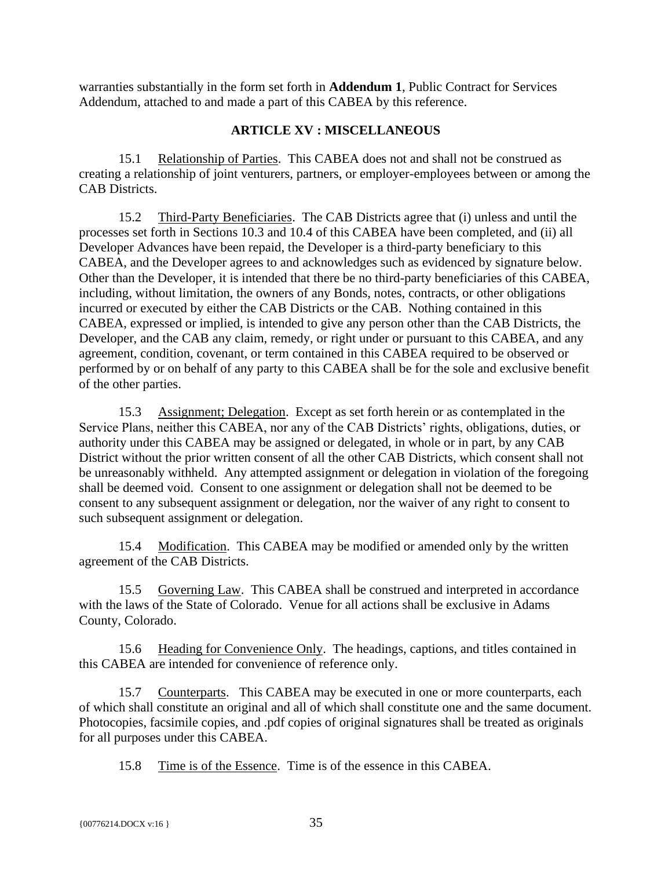warranties substantially in the form set forth in **Addendum 1**, Public Contract for Services Addendum, attached to and made a part of this CABEA by this reference.

#### **ARTICLE XV : MISCELLANEOUS**

<span id="page-39-1"></span><span id="page-39-0"></span>15.1 Relationship of Parties. This CABEA does not and shall not be construed as creating a relationship of joint venturers, partners, or employer-employees between or among the CAB Districts.

<span id="page-39-2"></span>15.2 Third-Party Beneficiaries. The CAB Districts agree that (i) unless and until the processes set forth in Sections 10.3 and 10.4 of this CABEA have been completed, and (ii) all Developer Advances have been repaid, the Developer is a third-party beneficiary to this CABEA, and the Developer agrees to and acknowledges such as evidenced by signature below. Other than the Developer, it is intended that there be no third-party beneficiaries of this CABEA, including, without limitation, the owners of any Bonds, notes, contracts, or other obligations incurred or executed by either the CAB Districts or the CAB. Nothing contained in this CABEA, expressed or implied, is intended to give any person other than the CAB Districts, the Developer, and the CAB any claim, remedy, or right under or pursuant to this CABEA, and any agreement, condition, covenant, or term contained in this CABEA required to be observed or performed by or on behalf of any party to this CABEA shall be for the sole and exclusive benefit of the other parties.

<span id="page-39-3"></span>15.3 Assignment; Delegation. Except as set forth herein or as contemplated in the Service Plans, neither this CABEA, nor any of the CAB Districts' rights, obligations, duties, or authority under this CABEA may be assigned or delegated, in whole or in part, by any CAB District without the prior written consent of all the other CAB Districts, which consent shall not be unreasonably withheld. Any attempted assignment or delegation in violation of the foregoing shall be deemed void. Consent to one assignment or delegation shall not be deemed to be consent to any subsequent assignment or delegation, nor the waiver of any right to consent to such subsequent assignment or delegation.

<span id="page-39-4"></span>15.4 Modification. This CABEA may be modified or amended only by the written agreement of the CAB Districts.

<span id="page-39-5"></span>15.5 Governing Law. This CABEA shall be construed and interpreted in accordance with the laws of the State of Colorado. Venue for all actions shall be exclusive in Adams County, Colorado.

<span id="page-39-6"></span>15.6 Heading for Convenience Only. The headings, captions, and titles contained in this CABEA are intended for convenience of reference only.

<span id="page-39-7"></span>15.7 Counterparts. This CABEA may be executed in one or more counterparts, each of which shall constitute an original and all of which shall constitute one and the same document*.* Photocopies, facsimile copies, and .pdf copies of original signatures shall be treated as originals for all purposes under this CABEA.

<span id="page-39-8"></span>15.8 Time is of the Essence. Time is of the essence in this CABEA.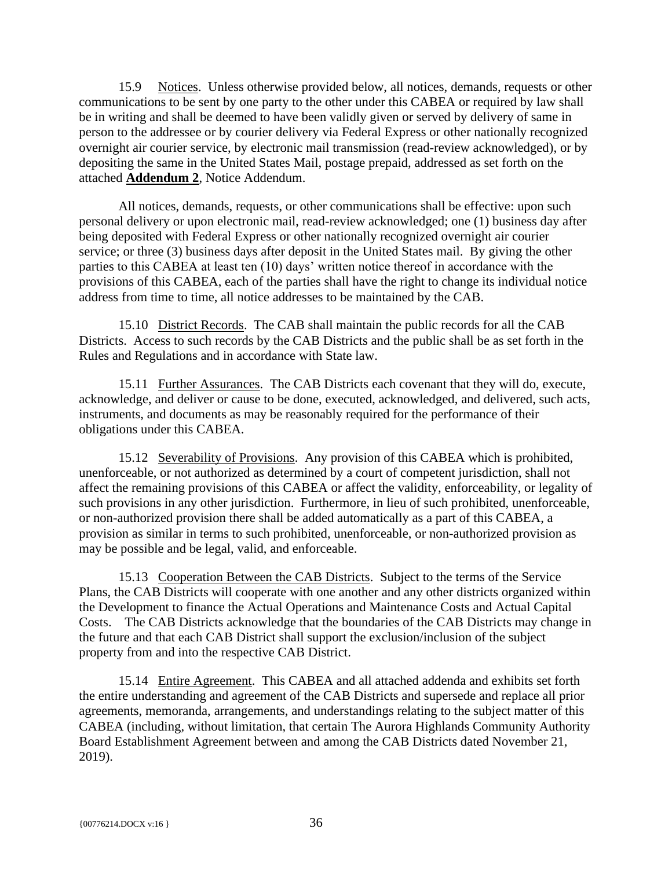<span id="page-40-0"></span>15.9 Notices. Unless otherwise provided below, all notices, demands, requests or other communications to be sent by one party to the other under this CABEA or required by law shall be in writing and shall be deemed to have been validly given or served by delivery of same in person to the addressee or by courier delivery via Federal Express or other nationally recognized overnight air courier service, by electronic mail transmission (read-review acknowledged), or by depositing the same in the United States Mail, postage prepaid, addressed as set forth on the attached **Addendum 2**, Notice Addendum.

All notices, demands, requests, or other communications shall be effective: upon such personal delivery or upon electronic mail, read-review acknowledged; one (1) business day after being deposited with Federal Express or other nationally recognized overnight air courier service; or three (3) business days after deposit in the United States mail. By giving the other parties to this CABEA at least ten (10) days' written notice thereof in accordance with the provisions of this CABEA, each of the parties shall have the right to change its individual notice address from time to time, all notice addresses to be maintained by the CAB.

<span id="page-40-1"></span>15.10 District Records. The CAB shall maintain the public records for all the CAB Districts. Access to such records by the CAB Districts and the public shall be as set forth in the Rules and Regulations and in accordance with State law.

<span id="page-40-2"></span>15.11 Further Assurances. The CAB Districts each covenant that they will do, execute, acknowledge, and deliver or cause to be done, executed, acknowledged, and delivered, such acts, instruments, and documents as may be reasonably required for the performance of their obligations under this CABEA.

<span id="page-40-3"></span>15.12 Severability of Provisions. Any provision of this CABEA which is prohibited, unenforceable, or not authorized as determined by a court of competent jurisdiction, shall not affect the remaining provisions of this CABEA or affect the validity, enforceability, or legality of such provisions in any other jurisdiction. Furthermore, in lieu of such prohibited, unenforceable, or non-authorized provision there shall be added automatically as a part of this CABEA, a provision as similar in terms to such prohibited, unenforceable, or non-authorized provision as may be possible and be legal, valid, and enforceable.

<span id="page-40-4"></span>15.13 Cooperation Between the CAB Districts. Subject to the terms of the Service Plans, the CAB Districts will cooperate with one another and any other districts organized within the Development to finance the Actual Operations and Maintenance Costs and Actual Capital Costs. The CAB Districts acknowledge that the boundaries of the CAB Districts may change in the future and that each CAB District shall support the exclusion/inclusion of the subject property from and into the respective CAB District.

<span id="page-40-5"></span>15.14 Entire Agreement. This CABEA and all attached addenda and exhibits set forth the entire understanding and agreement of the CAB Districts and supersede and replace all prior agreements, memoranda, arrangements, and understandings relating to the subject matter of this CABEA (including, without limitation, that certain The Aurora Highlands Community Authority Board Establishment Agreement between and among the CAB Districts dated November 21, 2019).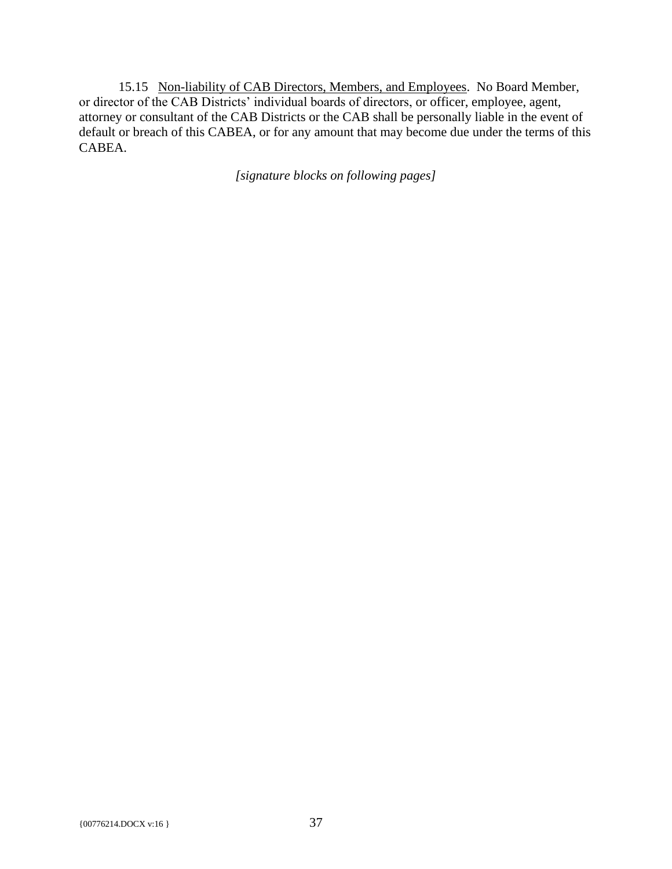<span id="page-41-0"></span>15.15 Non-liability of CAB Directors, Members, and Employees. No Board Member, or director of the CAB Districts' individual boards of directors, or officer, employee, agent, attorney or consultant of the CAB Districts or the CAB shall be personally liable in the event of default or breach of this CABEA, or for any amount that may become due under the terms of this CABEA.

*[signature blocks on following pages]*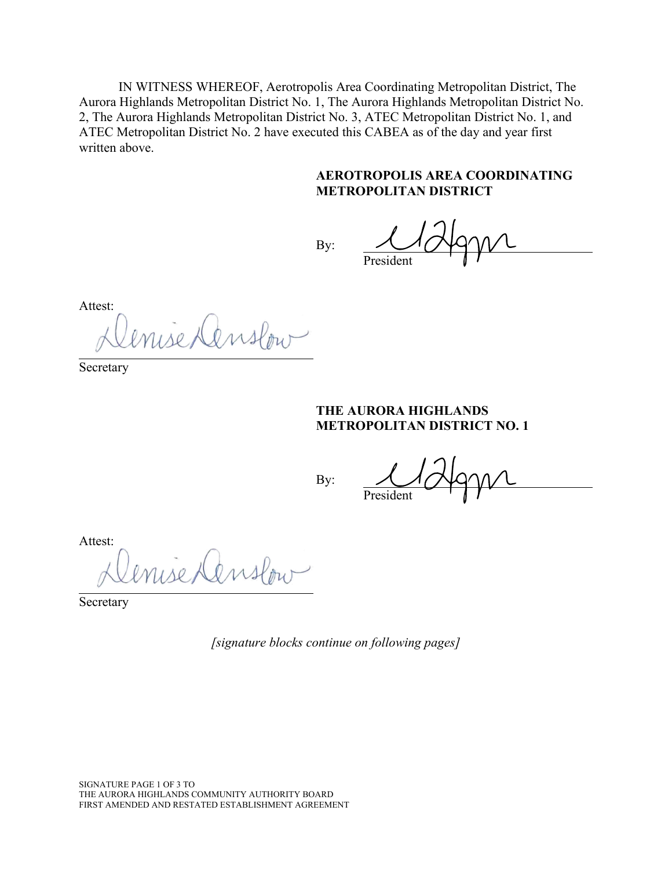IN WITNESS WHEREOF, Aerotropolis Area Coordinating Metropolitan District, The Aurora Highlands Metropolitan District No. 1, The Aurora Highlands Metropolitan District No. 2, The Aurora Highlands Metropolitan District No. 3, ATEC Metropolitan District No. 1, and ATEC Metropolitan District No. 2 have executed this CABEA as of the day and year first written above.

#### **AEROTROPOLIS AREA COORDINATING METROPOLITAN DISTRICT**

By: President

Attest:

isedenslow

Secretary

#### **THE AURORA HIGHLANDS METROPOLITAN DISTRICT NO. 1**

By:

President

Attest:

enise Censlow

Secretary

*[signature blocks continue on following pages]* 

SIGNATURE PAGE 1 OF 3 TO THE AURORA HIGHLANDS COMMUNITY AUTHORITY BOARD FIRST AMENDED AND RESTATED ESTABLISHMENT AGREEMENT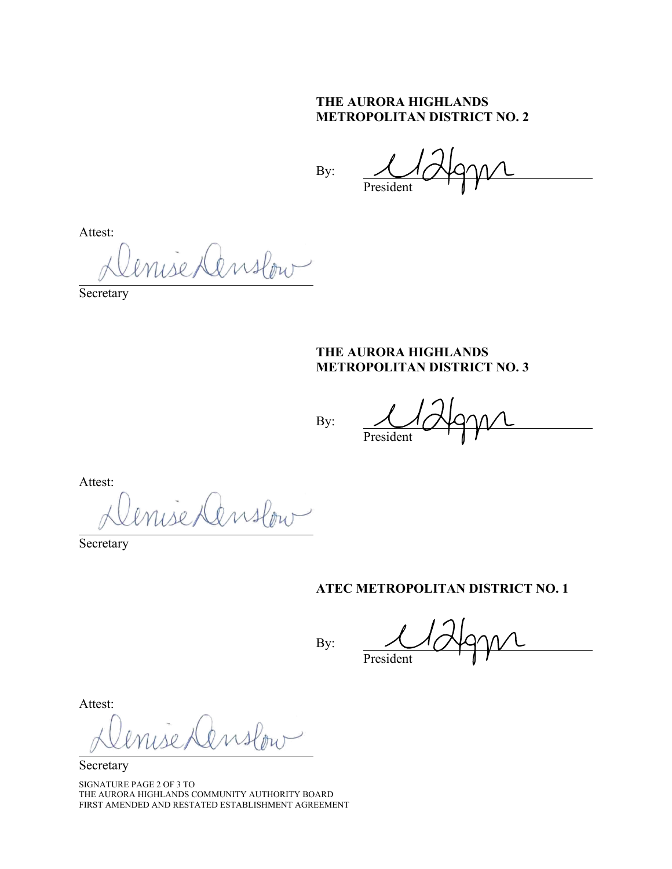# **THE AURORA HIGHLANDS METROPOLITAN DISTRICT NO. 2**

By:

President

Attest:

use Denslow

Secretary

#### **THE AURORA HIGHLANDS METROPOLITAN DISTRICT NO. 3**

By:

President

Attest:

isedenslow

Secretary

#### **ATEC METROPOLITAN DISTRICT NO. 1**

By:

President

Attest:

Secretary

SIGNATURE PAGE 2 OF 3 TO THE AURORA HIGHLANDS COMMUNITY AUTHORITY BOARD FIRST AMENDED AND RESTATED ESTABLISHMENT AGREEMENT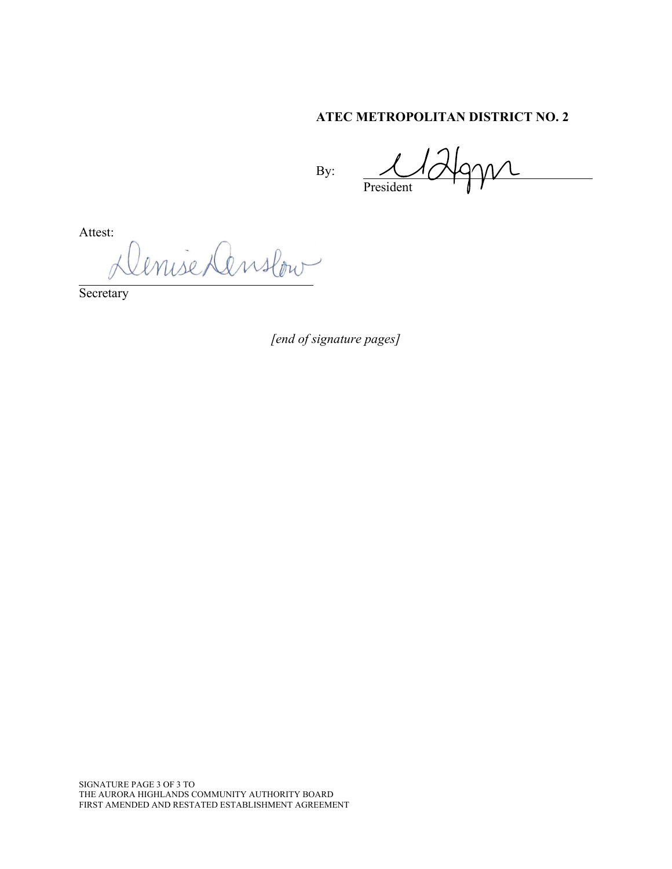# **ATEC METROPOLITAN DISTRICT NO. 2**

By:

President

Attest:

enise Denslow

Secretary

*[end of signature pages]*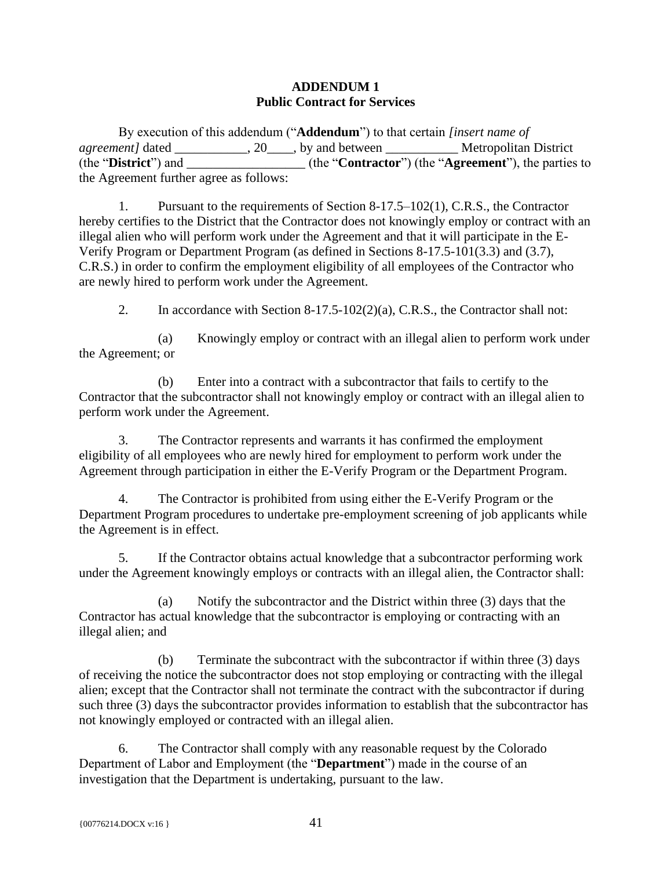#### **ADDENDUM 1 Public Contract for Services**

By execution of this addendum ("**Addendum**") to that certain *[insert name of agreement]* dated \_\_\_\_\_\_\_\_\_\_, 20\_\_\_\_, by and between \_\_\_\_\_\_\_\_\_\_\_\_\_\_ Metropolitan District (the "**District**") and \_\_\_\_\_\_\_\_\_\_\_\_\_\_\_\_\_\_ (the "**Contractor**") (the "**Agreement**"), the parties to the Agreement further agree as follows:

1. Pursuant to the requirements of Section 8-17.5–102(1), C.R.S., the Contractor hereby certifies to the District that the Contractor does not knowingly employ or contract with an illegal alien who will perform work under the Agreement and that it will participate in the E-Verify Program or Department Program (as defined in Sections 8-17.5-101(3.3) and (3.7), C.R.S.) in order to confirm the employment eligibility of all employees of the Contractor who are newly hired to perform work under the Agreement.

2. In accordance with Section 8-17.5-102(2)(a), C.R.S., the Contractor shall not:

(a) Knowingly employ or contract with an illegal alien to perform work under the Agreement; or

(b) Enter into a contract with a subcontractor that fails to certify to the Contractor that the subcontractor shall not knowingly employ or contract with an illegal alien to perform work under the Agreement.

3. The Contractor represents and warrants it has confirmed the employment eligibility of all employees who are newly hired for employment to perform work under the Agreement through participation in either the E-Verify Program or the Department Program.

4. The Contractor is prohibited from using either the E-Verify Program or the Department Program procedures to undertake pre-employment screening of job applicants while the Agreement is in effect.

5. If the Contractor obtains actual knowledge that a subcontractor performing work under the Agreement knowingly employs or contracts with an illegal alien, the Contractor shall:

(a) Notify the subcontractor and the District within three (3) days that the Contractor has actual knowledge that the subcontractor is employing or contracting with an illegal alien; and

(b) Terminate the subcontract with the subcontractor if within three (3) days of receiving the notice the subcontractor does not stop employing or contracting with the illegal alien; except that the Contractor shall not terminate the contract with the subcontractor if during such three (3) days the subcontractor provides information to establish that the subcontractor has not knowingly employed or contracted with an illegal alien.

6. The Contractor shall comply with any reasonable request by the Colorado Department of Labor and Employment (the "**Department**") made in the course of an investigation that the Department is undertaking, pursuant to the law.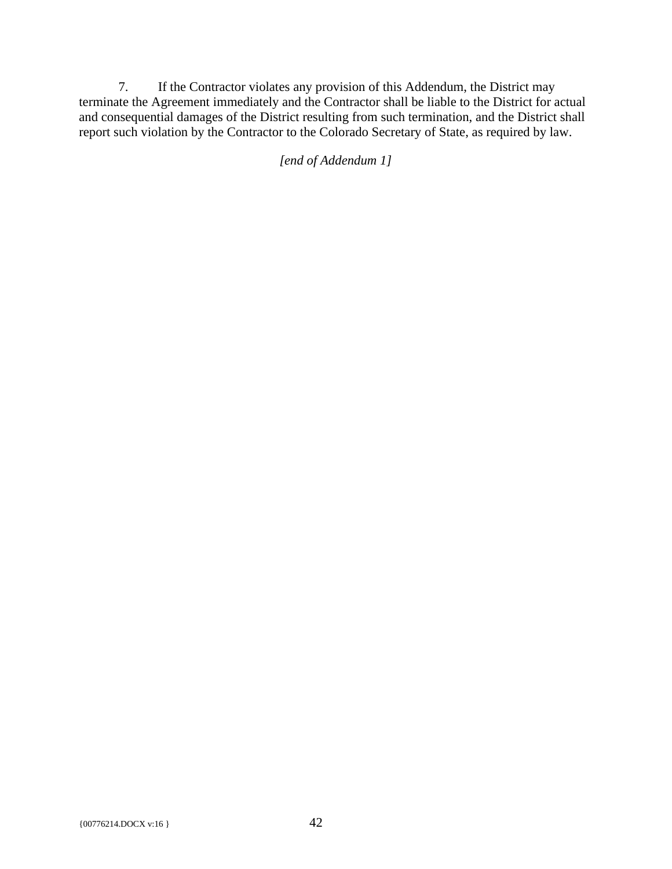7. If the Contractor violates any provision of this Addendum, the District may terminate the Agreement immediately and the Contractor shall be liable to the District for actual and consequential damages of the District resulting from such termination, and the District shall report such violation by the Contractor to the Colorado Secretary of State, as required by law.

*[end of Addendum 1]*